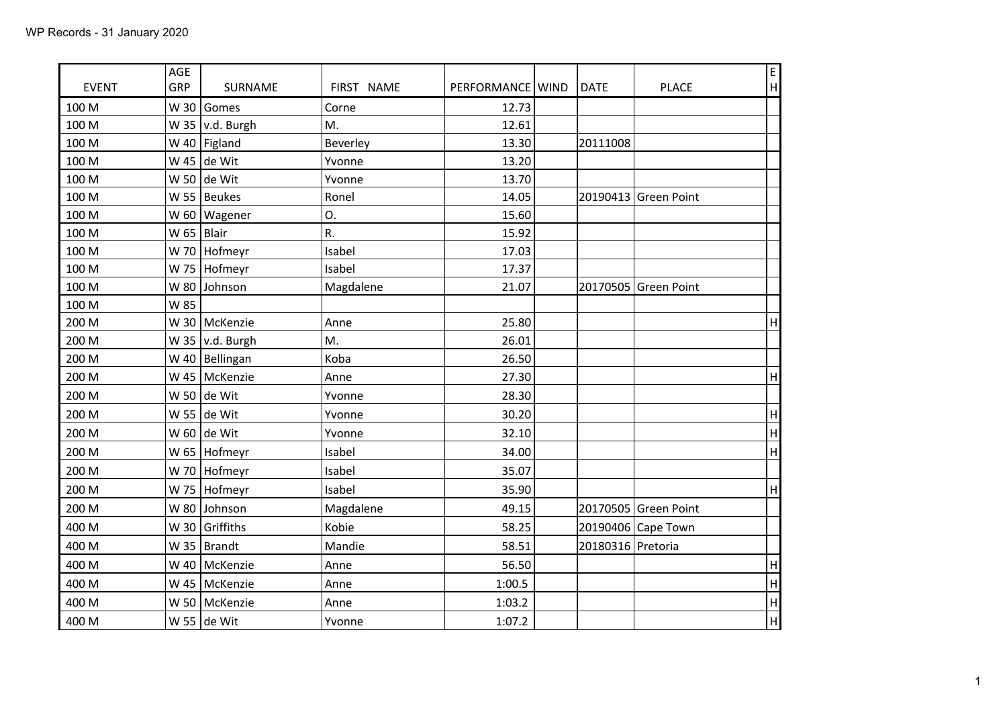|              | AGE          |                         |            |                    |                   |                      | E                         |
|--------------|--------------|-------------------------|------------|--------------------|-------------------|----------------------|---------------------------|
| <b>EVENT</b> | GRP          | SURNAME                 | FIRST NAME | PERFORMANCE   WIND | <b>DATE</b>       | <b>PLACE</b>         | H                         |
| 100 M        |              | W 30 Gomes              | Corne      | 12.73              |                   |                      |                           |
| 100 M        |              | W 35 $\vert v.d.$ Burgh | M.         | 12.61              |                   |                      |                           |
| 100 M        |              | W 40   Figland          | Beverley   | 13.30              | 20111008          |                      |                           |
| 100 M        |              | W 45 de Wit             | Yvonne     | 13.20              |                   |                      |                           |
| 100 M        |              | W 50 de Wit             | Yvonne     | 13.70              |                   |                      |                           |
| 100 M        |              | W 55   Beukes           | Ronel      | 14.05              |                   | 20190413 Green Point |                           |
| 100 M        |              | W 60   Wagener          | О.         | 15.60              |                   |                      |                           |
| 100 M        | W 65   Blair |                         | R.         | 15.92              |                   |                      |                           |
| 100 M        |              | W 70 Hofmeyr            | Isabel     | 17.03              |                   |                      |                           |
| 100 M        |              | W 75   Hofmeyr          | Isabel     | 17.37              |                   |                      |                           |
| 100 M        |              | W 80 Johnson            | Magdalene  | 21.07              |                   | 20170505 Green Point |                           |
| 100 M        | W 85         |                         |            |                    |                   |                      |                           |
| 200 M        |              | W 30   McKenzie         | Anne       | 25.80              |                   |                      | $\overline{\mathsf{H}}$   |
| 200 M        |              | W 35 $\vert v.d.$ Burgh | M.         | 26.01              |                   |                      |                           |
| 200 M        |              | W 40   Bellingan        | Koba       | 26.50              |                   |                      |                           |
| 200 M        |              | W 45   McKenzie         | Anne       | 27.30              |                   |                      | $\overline{\mathsf{H}}$   |
| 200 M        |              | W 50 de Wit             | Yvonne     | 28.30              |                   |                      |                           |
| 200 M        |              | W 55 de Wit             | Yvonne     | 30.20              |                   |                      | $\boldsymbol{\mathsf{H}}$ |
| 200 M        |              | W 60 de Wit             | Yvonne     | 32.10              |                   |                      | $\overline{H}$            |
| 200 M        |              | W 65   Hofmeyr          | Isabel     | 34.00              |                   |                      | H                         |
| 200 M        |              | W 70   Hofmeyr          | Isabel     | 35.07              |                   |                      |                           |
| 200 M        |              | W 75   Hofmeyr          | Isabel     | 35.90              |                   |                      | $\overline{\mathsf{H}}$   |
| 200 M        |              | W 80 Johnson            | Magdalene  | 49.15              |                   | 20170505 Green Point |                           |
| 400 M        |              | W 30 Griffiths          | Kobie      | 58.25              |                   | 20190406 Cape Town   |                           |
| 400 M        |              | W 35   Brandt           | Mandie     | 58.51              | 20180316 Pretoria |                      |                           |
| 400 M        |              | W 40   McKenzie         | Anne       | 56.50              |                   |                      | $\sf H$                   |
| 400 M        |              | W 45   McKenzie         | Anne       | 1:00.5             |                   |                      | H                         |
| 400 M        |              | W 50   McKenzie         | Anne       | 1:03.2             |                   |                      | H                         |
| 400 M        |              | W 55 de Wit             | Yvonne     | 1:07.2             |                   |                      | $\overline{H}$            |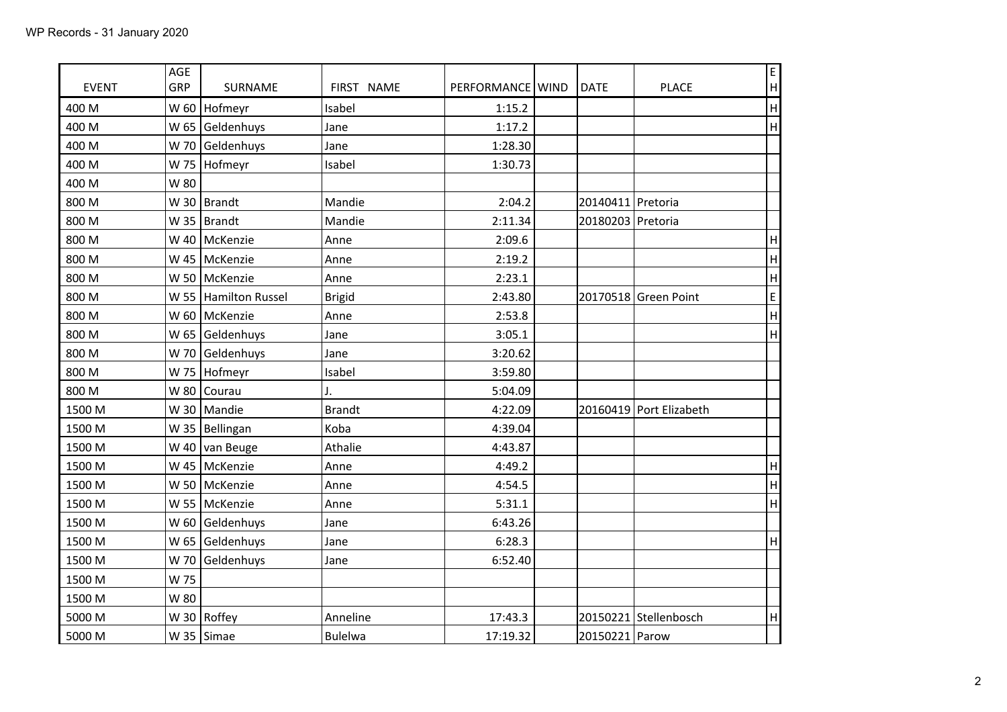| <b>EVENT</b> | <b>AGE</b><br>GRP | <b>SURNAME</b>            | FIRST NAME     | PERFORMANCE WIND | <b>DATE</b>       | <b>PLACE</b>            | E<br>H                    |
|--------------|-------------------|---------------------------|----------------|------------------|-------------------|-------------------------|---------------------------|
| 400 M        | W 60              | Hofmeyr                   | Isabel         | 1:15.2           |                   |                         | $\boldsymbol{\mathsf{H}}$ |
| 400 M        |                   | W 65 Geldenhuys           | Jane           | 1:17.2           |                   |                         | H                         |
| 400 M        |                   | W 70 Geldenhuys           | Jane           | 1:28.30          |                   |                         |                           |
| 400 M        | W 75              | Hofmeyr                   | Isabel         | 1:30.73          |                   |                         |                           |
| 400 M        | W 80              |                           |                |                  |                   |                         |                           |
| 800 M        |                   | W 30   Brandt             | Mandie         | 2:04.2           | 20140411 Pretoria |                         |                           |
| 800 M        |                   | W 35   Brandt             | Mandie         | 2:11.34          | 20180203 Pretoria |                         |                           |
| 800 M        |                   | W 40   McKenzie           | Anne           | 2:09.6           |                   |                         | $\boldsymbol{\mathsf{H}}$ |
| 800 M        |                   | W 45   McKenzie           | Anne           | 2:19.2           |                   |                         | $\boldsymbol{\mathsf{H}}$ |
| 800 M        |                   | W 50 McKenzie             | Anne           | 2:23.1           |                   |                         | H                         |
| 800 M        |                   | W 55 Hamilton Russel      | <b>Brigid</b>  | 2:43.80          |                   | 20170518 Green Point    | $\mathsf E$               |
| 800 M        |                   | W 60   McKenzie           | Anne           | 2:53.8           |                   |                         | $\boldsymbol{\mathsf{H}}$ |
| 800 M        |                   | W 65 Geldenhuys           | Jane           | 3:05.1           |                   |                         | H                         |
| 800 M        |                   | W 70 Geldenhuys           | Jane           | 3:20.62          |                   |                         |                           |
| 800 M        |                   | W 75   Hofmeyr            | Isabel         | 3:59.80          |                   |                         |                           |
| 800 M        | W80               | Courau                    | $\mathsf{J}$ . | 5:04.09          |                   |                         |                           |
| 1500 M       |                   | W 30   Mandie             | <b>Brandt</b>  | 4:22.09          |                   | 20160419 Port Elizabeth |                           |
| 1500 M       |                   | W 35   Bellingan          | Koba           | 4:39.04          |                   |                         |                           |
| 1500 M       |                   | W 40 $\sqrt{2}$ van Beuge | Athalie        | 4:43.87          |                   |                         |                           |
| 1500 M       |                   | W 45   McKenzie           | Anne           | 4:49.2           |                   |                         | H                         |
| 1500 M       |                   | W 50   McKenzie           | Anne           | 4:54.5           |                   |                         | H                         |
| 1500 M       |                   | W 55   McKenzie           | Anne           | 5:31.1           |                   |                         | H                         |
| 1500 M       |                   | W 60 Geldenhuys           | Jane           | 6:43.26          |                   |                         |                           |
| 1500 M       |                   | W 65 Geldenhuys           | Jane           | 6:28.3           |                   |                         | H                         |
| 1500 M       | W 70              | Geldenhuys                | Jane           | 6:52.40          |                   |                         |                           |
| 1500 M       | W 75              |                           |                |                  |                   |                         |                           |
| 1500 M       | W 80              |                           |                |                  |                   |                         |                           |
| 5000 M       |                   | W 30   Roffey             | Anneline       | 17:43.3          |                   | 20150221 Stellenbosch   | $\boldsymbol{\mathsf{H}}$ |
| 5000 M       |                   | W 35 Simae                | <b>Bulelwa</b> | 17:19.32         | 20150221 Parow    |                         |                           |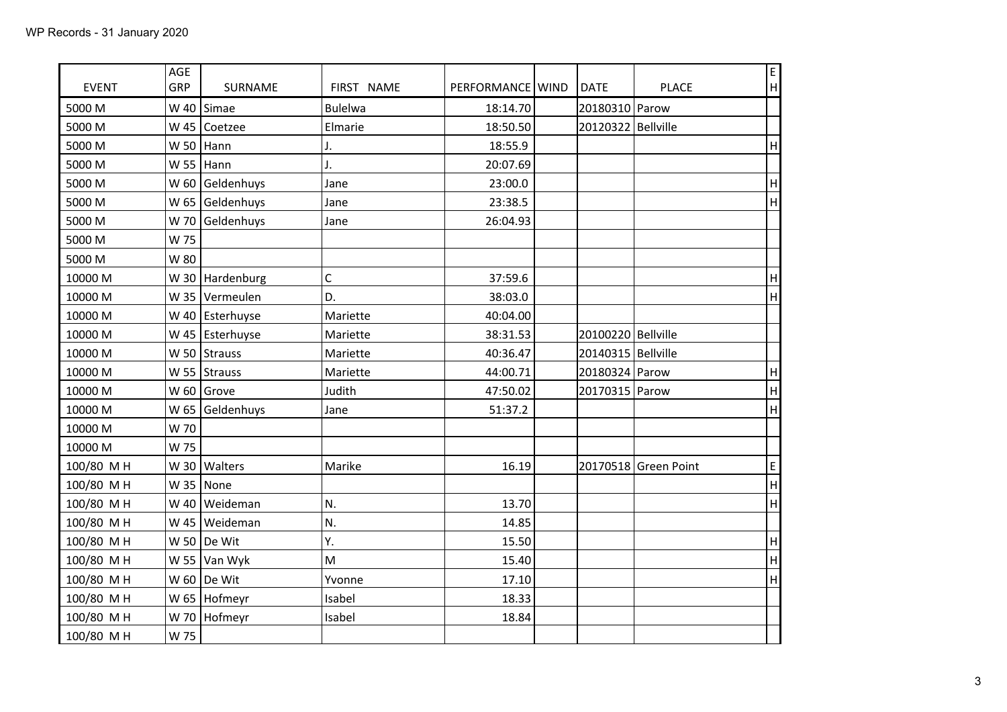| <b>EVENT</b> | AGE<br>GRP | SURNAME              | FIRST NAME     | PERFORMANCE   WIND | <b>DATE</b>          | <b>PLACE</b>         | F<br> H                   |
|--------------|------------|----------------------|----------------|--------------------|----------------------|----------------------|---------------------------|
| 5000 M       | W 40       | Simae                | <b>Bulelwa</b> | 18:14.70           | 20180310 Parow       |                      |                           |
| 5000 M       |            | W 45 $\vert$ Coetzee | Elmarie        | 18:50.50           | 20120322 Bellville   |                      |                           |
| 5000 M       |            | W 50   Hann          | J.             | 18:55.9            |                      |                      | H                         |
| 5000 M       |            | W 55 $ $ Hann        | J.             | 20:07.69           |                      |                      |                           |
| 5000 M       |            | W 60 Geldenhuys      | Jane           | 23:00.0            |                      |                      | $\boldsymbol{\mathsf{H}}$ |
| 5000 M       |            | W 65 Geldenhuys      | Jane           | 23:38.5            |                      |                      | H                         |
| 5000 M       |            | W 70 Geldenhuys      | Jane           | 26:04.93           |                      |                      |                           |
| 5000 M       | W 75       |                      |                |                    |                      |                      |                           |
| 5000 M       | W 80       |                      |                |                    |                      |                      |                           |
| 10000 M      |            | W 30   Hardenburg    | $\mathsf C$    | 37:59.6            |                      |                      | $\boldsymbol{\mathsf{H}}$ |
| 10000 M      |            | W 35   Vermeulen     | D.             | 38:03.0            |                      |                      | H                         |
| 10000 M      |            | W 40 Esterhuyse      | Mariette       | 40:04.00           |                      |                      |                           |
| 10000 M      |            | W 45   Esterhuyse    | Mariette       | 38:31.53           | 20100220 Bellville   |                      |                           |
| 10000 M      |            | W 50 Strauss         | Mariette       | 40:36.47           | 20140315   Bellville |                      |                           |
| 10000 M      |            | W 55 Strauss         | Mariette       | 44:00.71           | 20180324 Parow       |                      | H                         |
| 10000 M      |            | W 60 Grove           | Judith         | 47:50.02           | 20170315 Parow       |                      | H                         |
| 10000 M      |            | W 65 Geldenhuys      | Jane           | 51:37.2            |                      |                      | H                         |
| 10000 M      | W 70       |                      |                |                    |                      |                      |                           |
| 10000 M      | W 75       |                      |                |                    |                      |                      |                           |
| 100/80 MH    |            | W 30   Walters       | Marike         | 16.19              |                      | 20170518 Green Point | E                         |
| 100/80 MH    |            | W 35   None          |                |                    |                      |                      | H                         |
| 100/80 MH    |            | W 40   Weideman      | N.             | 13.70              |                      |                      | H                         |
| 100/80 MH    |            | W 45   Weideman      | N.             | 14.85              |                      |                      |                           |
| 100/80 MH    |            | W 50 De Wit          | Υ.             | 15.50              |                      |                      | H                         |
| 100/80 MH    |            | W 55 $ $ Van Wyk     | M              | 15.40              |                      |                      | H                         |
| 100/80 MH    |            | W 60 De Wit          | Yvonne         | 17.10              |                      |                      | H                         |
| 100/80 MH    |            | W 65   Hofmeyr       | Isabel         | 18.33              |                      |                      |                           |
| 100/80 MH    |            | W 70 Hofmeyr         | Isabel         | 18.84              |                      |                      |                           |
| 100/80 MH    | W 75       |                      |                |                    |                      |                      |                           |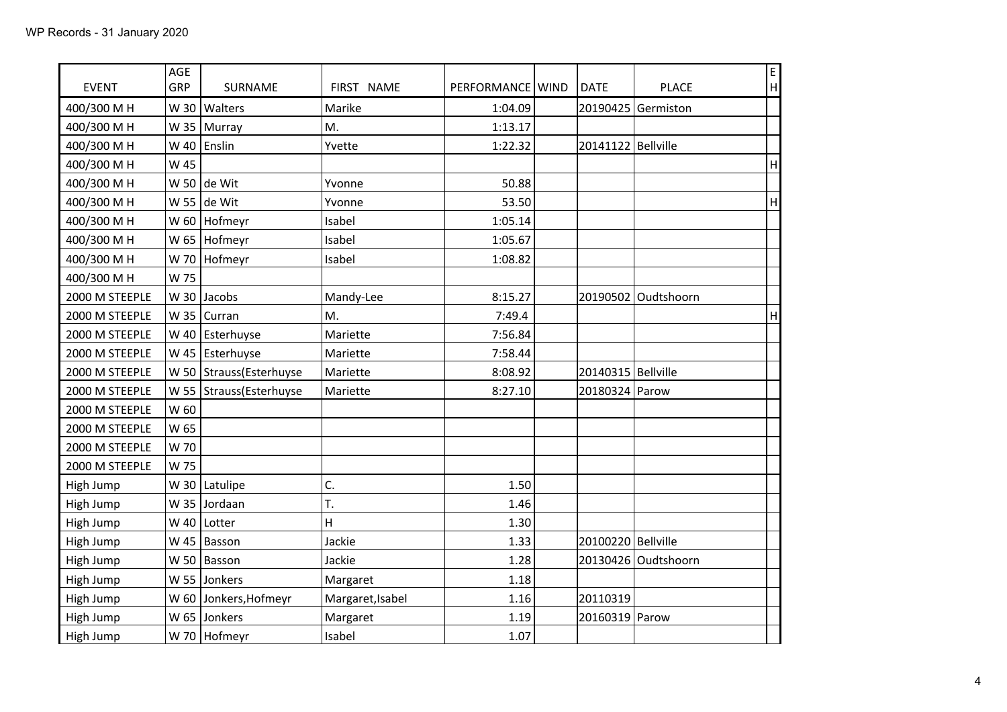| <b>EVENT</b>   | AGE<br>GRP | SURNAME                  | FIRST NAME       | PERFORMANCE   WIND | <b>DATE</b>          | <b>PLACE</b>        | E<br>H                    |
|----------------|------------|--------------------------|------------------|--------------------|----------------------|---------------------|---------------------------|
| 400/300 M H    | W 30       | Walters                  | Marike           | 1:04.09            | 20190425             | Germiston           |                           |
| 400/300 M H    |            | W 35   Murray            | M.               | 1:13.17            |                      |                     |                           |
| 400/300 M H    |            | W 40 Enslin              | Yvette           | 1:22.32            | 20141122 Bellville   |                     |                           |
| 400/300 M H    | W 45       |                          |                  |                    |                      |                     | $\sf H$                   |
| 400/300 M H    |            | W 50 de Wit              | Yvonne           | 50.88              |                      |                     |                           |
| 400/300 M H    |            | W 55 de Wit              | Yvonne           | 53.50              |                      |                     | $\boldsymbol{\mathsf{H}}$ |
| 400/300 M H    |            | W 60   Hofmeyr           | Isabel           | 1:05.14            |                      |                     |                           |
| 400/300 M H    |            |                          | Isabel           | 1:05.67            |                      |                     |                           |
| 400/300 M H    |            | W 65   Hofmeyr           | Isabel           | 1:08.82            |                      |                     |                           |
|                |            | W 70 Hofmeyr             |                  |                    |                      |                     |                           |
| 400/300 M H    | W 75       |                          |                  |                    |                      |                     |                           |
| 2000 M STEEPLE |            | W 30 Jacobs              | Mandy-Lee        | 8:15.27            |                      | 20190502 Oudtshoorn |                           |
| 2000 M STEEPLE |            | W 35   Curran            | M.               | 7:49.4             |                      |                     | H                         |
| 2000 M STEEPLE |            | W 40   Esterhuyse        | Mariette         | 7:56.84            |                      |                     |                           |
| 2000 M STEEPLE |            | W 45   Esterhuyse        | Mariette         | 7:58.44            |                      |                     |                           |
| 2000 M STEEPLE |            | W 50 Strauss (Esterhuyse | Mariette         | 8:08.92            | 20140315   Bellville |                     |                           |
| 2000 M STEEPLE |            | W 55 Strauss (Esterhuyse | Mariette         | 8:27.10            | 20180324 Parow       |                     |                           |
| 2000 M STEEPLE | W 60       |                          |                  |                    |                      |                     |                           |
| 2000 M STEEPLE | W 65       |                          |                  |                    |                      |                     |                           |
| 2000 M STEEPLE | W 70       |                          |                  |                    |                      |                     |                           |
| 2000 M STEEPLE | W 75       |                          |                  |                    |                      |                     |                           |
| High Jump      |            | W 30   Latulipe          | C.               | 1.50               |                      |                     |                           |
| High Jump      |            | W 35 Jordaan             | T.               | 1.46               |                      |                     |                           |
| High Jump      |            | W 40   Lotter            | H                | 1.30               |                      |                     |                           |
| High Jump      |            | W 45   Basson            | Jackie           | 1.33               | 20100220 Bellville   |                     |                           |
| High Jump      |            | W 50   Basson            | Jackie           | 1.28               |                      | 20130426 Oudtshoorn |                           |
| High Jump      |            | W 55 Jonkers             | Margaret         | 1.18               |                      |                     |                           |
| High Jump      |            | W 60 Jonkers, Hofmeyr    | Margaret, Isabel | 1.16               | 20110319             |                     |                           |
| High Jump      |            | W 65 Jonkers             | Margaret         | 1.19               | 20160319 Parow       |                     |                           |
| High Jump      |            | W 70   Hofmeyr           | Isabel           | 1.07               |                      |                     |                           |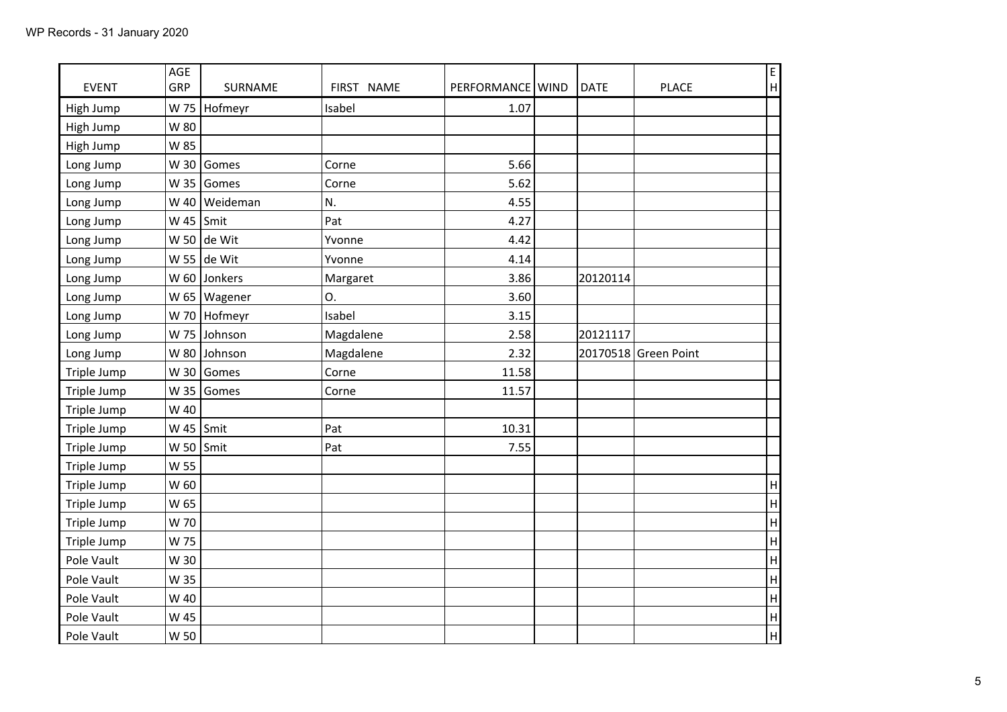| <b>EVENT</b> | AGE<br>GRP        | <b>SURNAME</b>  | FIRST NAME | PERFORMANCE   WIND | DATE     | <b>PLACE</b>         | E<br>$\boldsymbol{\mathsf{H}}$ |
|--------------|-------------------|-----------------|------------|--------------------|----------|----------------------|--------------------------------|
|              | W 75              |                 | Isabel     | 1.07               |          |                      |                                |
| High Jump    |                   | Hofmeyr         |            |                    |          |                      |                                |
| High Jump    | W 80              |                 |            |                    |          |                      |                                |
| High Jump    | W 85              |                 |            |                    |          |                      |                                |
| Long Jump    |                   | W 30 Gomes      | Corne      | 5.66               |          |                      |                                |
| Long Jump    |                   | W 35 Gomes      | Corne      | 5.62               |          |                      |                                |
| Long Jump    |                   | W 40   Weideman | N.         | 4.55               |          |                      |                                |
| Long Jump    | W 45 $\vert$ Smit |                 | Pat        | 4.27               |          |                      |                                |
| Long Jump    |                   | W 50 de Wit     | Yvonne     | 4.42               |          |                      |                                |
| Long Jump    |                   | W 55 de Wit     | Yvonne     | 4.14               |          |                      |                                |
| Long Jump    |                   | W 60 Jonkers    | Margaret   | 3.86               | 20120114 |                      |                                |
| Long Jump    |                   | W 65   Wagener  | О.         | 3.60               |          |                      |                                |
| Long Jump    |                   | W 70 Hofmeyr    | Isabel     | 3.15               |          |                      |                                |
| Long Jump    |                   | W 75 Johnson    | Magdalene  | 2.58               | 20121117 |                      |                                |
| Long Jump    |                   | W 80 Johnson    | Magdalene  | 2.32               |          | 20170518 Green Point |                                |
| Triple Jump  |                   | W 30 Gomes      | Corne      | 11.58              |          |                      |                                |
| Triple Jump  | W 35              | Gomes           | Corne      | 11.57              |          |                      |                                |
| Triple Jump  | W 40              |                 |            |                    |          |                      |                                |
| Triple Jump  | W 45 $\vert$ Smit |                 | Pat        | 10.31              |          |                      |                                |
| Triple Jump  | W 50 $\vert$ Smit |                 | Pat        | 7.55               |          |                      |                                |
| Triple Jump  | W 55              |                 |            |                    |          |                      |                                |
| Triple Jump  | W 60              |                 |            |                    |          |                      | $\sf H$                        |
| Triple Jump  | W 65              |                 |            |                    |          |                      | H                              |
| Triple Jump  | W 70              |                 |            |                    |          |                      | H                              |
| Triple Jump  | W 75              |                 |            |                    |          |                      | $\overline{H}$                 |
| Pole Vault   | W 30              |                 |            |                    |          |                      | $\overline{\mathsf{H}}$        |
| Pole Vault   | W 35              |                 |            |                    |          |                      | $\overline{\mathsf{H}}$        |
| Pole Vault   | W 40              |                 |            |                    |          |                      | $\overline{\mathsf{H}}$        |
| Pole Vault   | W 45              |                 |            |                    |          |                      | H                              |
| Pole Vault   | W 50              |                 |            |                    |          |                      | $\overline{H}$                 |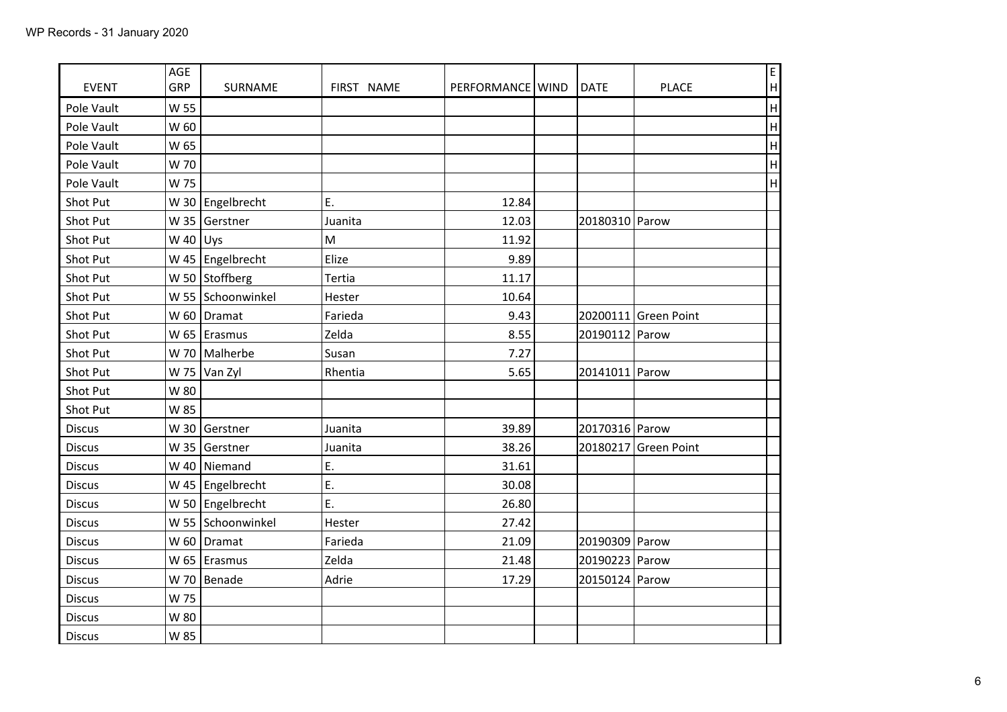| <b>EVENT</b>    | AGE<br>GRP   | SURNAME              | FIRST NAME | PERFORMANCE   WIND | <b>DATE</b>    | F<br>H<br><b>PLACE</b>    |
|-----------------|--------------|----------------------|------------|--------------------|----------------|---------------------------|
| Pole Vault      | W 55         |                      |            |                    |                | H                         |
| Pole Vault      | W 60         |                      |            |                    |                | H                         |
| Pole Vault      | W 65         |                      |            |                    |                | H                         |
| Pole Vault      | W 70         |                      |            |                    |                | $\boldsymbol{\mathsf{H}}$ |
| Pole Vault      | W 75         |                      |            |                    |                | $\boldsymbol{\mathsf{H}}$ |
| Shot Put        |              | W 30 Engelbrecht     | Ε.         | 12.84              |                |                           |
| <b>Shot Put</b> |              | W 35 Gerstner        | Juanita    | 12.03              | 20180310 Parow |                           |
| Shot Put        | W 40 $ U$ ys |                      | M          | 11.92              |                |                           |
| Shot Put        |              | W 45   Engelbrecht   | Elize      | 9.89               |                |                           |
| Shot Put        |              | W 50 Stoffberg       | Tertia     | 11.17              |                |                           |
| Shot Put        |              | W 55 Schoonwinkel    | Hester     | 10.64              |                |                           |
| Shot Put        |              | W 60   Dramat        | Farieda    | 9.43               |                | 20200111 Green Point      |
| Shot Put        |              | W 65 $\vert$ Erasmus | Zelda      | 8.55               | 20190112 Parow |                           |
| Shot Put        |              | W 70   Malherbe      | Susan      | 7.27               |                |                           |
| Shot Put        |              | W 75 Van Zyl         | Rhentia    | 5.65               | 20141011 Parow |                           |
| Shot Put        | W 80         |                      |            |                    |                |                           |
| Shot Put        | W 85         |                      |            |                    |                |                           |
| <b>Discus</b>   |              | W 30 Gerstner        | Juanita    | 39.89              | 20170316 Parow |                           |
| <b>Discus</b>   | W 35         | Gerstner             | Juanita    | 38.26              |                | 20180217 Green Point      |
| <b>Discus</b>   |              | W 40   Niemand       | E.         | 31.61              |                |                           |
| <b>Discus</b>   |              | W 45   Engelbrecht   | E.         | 30.08              |                |                           |
| <b>Discus</b>   |              | W 50   Engelbrecht   | E.         | 26.80              |                |                           |
| <b>Discus</b>   |              | W 55 Schoonwinkel    | Hester     | 27.42              |                |                           |
| <b>Discus</b>   |              | W 60   Dramat        | Farieda    | 21.09              | 20190309 Parow |                           |
| <b>Discus</b>   |              | W 65   Erasmus       | Zelda      | 21.48              | 20190223 Parow |                           |
| <b>Discus</b>   |              | W 70   Benade        | Adrie      | 17.29              | 20150124 Parow |                           |
| <b>Discus</b>   | W 75         |                      |            |                    |                |                           |
| <b>Discus</b>   | W 80         |                      |            |                    |                |                           |
| <b>Discus</b>   | W 85         |                      |            |                    |                |                           |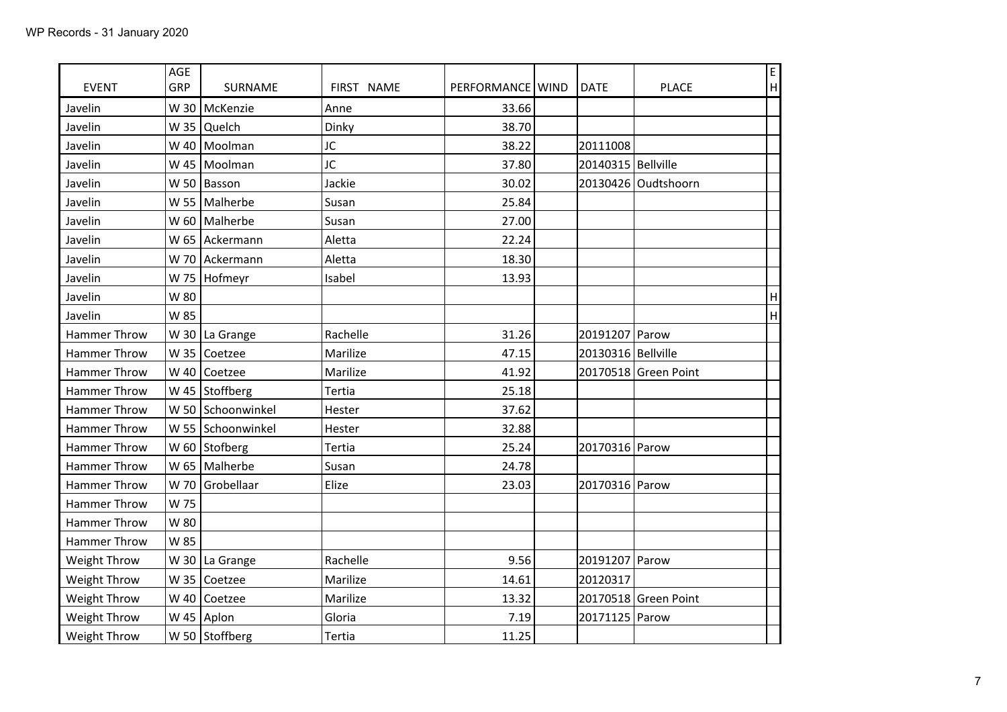| <b>EVENT</b>        | AGE<br>GRP | SURNAME              | FIRST NAME | PERFORMANCE   WIND | <b>DATE</b>          | <b>PLACE</b>         | E<br>H |
|---------------------|------------|----------------------|------------|--------------------|----------------------|----------------------|--------|
| Javelin             |            | W 30   McKenzie      | Anne       | 33.66              |                      |                      |        |
| Javelin             |            | W 35 $Quelch$        | Dinky      | 38.70              |                      |                      |        |
| Javelin             |            | W 40   Moolman       | JC         | 38.22              | 20111008             |                      |        |
| Javelin             |            | W 45   Moolman       | JC         | 37.80              | 20140315   Bellville |                      |        |
| Javelin             |            | W 50   Basson        | Jackie     | 30.02              |                      | 20130426 Oudtshoorn  |        |
| Javelin             |            | W 55 Malherbe        | Susan      | 25.84              |                      |                      |        |
| Javelin             |            | W 60   Malherbe      | Susan      | 27.00              |                      |                      |        |
| Javelin             |            | W 65 Ackermann       | Aletta     | 22.24              |                      |                      |        |
| Javelin             |            | W 70 Ackermann       | Aletta     | 18.30              |                      |                      |        |
| Javelin             |            | W 75   Hofmeyr       | Isabel     | 13.93              |                      |                      |        |
| Javelin             | W 80       |                      |            |                    |                      |                      | H      |
| Javelin             | W 85       |                      |            |                    |                      |                      | H      |
| <b>Hammer Throw</b> |            | W 30   La Grange     | Rachelle   | 31.26              | 20191207 Parow       |                      |        |
| Hammer Throw        |            | W 35 $Coetzee$       | Marilize   | 47.15              | 20130316 Bellville   |                      |        |
| Hammer Throw        |            | W 40 $\vert$ Coetzee | Marilize   | 41.92              |                      | 20170518 Green Point |        |
| <b>Hammer Throw</b> |            | W 45 Stoffberg       | Tertia     | 25.18              |                      |                      |        |
| Hammer Throw        |            | W 50 Schoonwinkel    | Hester     | 37.62              |                      |                      |        |
| <b>Hammer Throw</b> |            | W 55 Schoonwinkel    | Hester     | 32.88              |                      |                      |        |
| Hammer Throw        |            | W 60 Stofberg        | Tertia     | 25.24              | 20170316 Parow       |                      |        |
| Hammer Throw        |            | W 65   Malherbe      | Susan      | 24.78              |                      |                      |        |
| <b>Hammer Throw</b> |            | W 70 Grobellaar      | Elize      | 23.03              | 20170316 Parow       |                      |        |
| Hammer Throw        | W 75       |                      |            |                    |                      |                      |        |
| Hammer Throw        | W 80       |                      |            |                    |                      |                      |        |
| Hammer Throw        | W 85       |                      |            |                    |                      |                      |        |
| Weight Throw        |            | W 30   La Grange     | Rachelle   | 9.56               | 20191207 Parow       |                      |        |
| Weight Throw        | W 35       | Coetzee              | Marilize   | 14.61              | 20120317             |                      |        |
| Weight Throw        |            | W 40 $\vert$ Coetzee | Marilize   | 13.32              |                      | 20170518 Green Point |        |
| Weight Throw        |            | W 45 Aplon           | Gloria     | 7.19               | 20171125 Parow       |                      |        |
| Weight Throw        |            | W 50 Stoffberg       | Tertia     | 11.25              |                      |                      |        |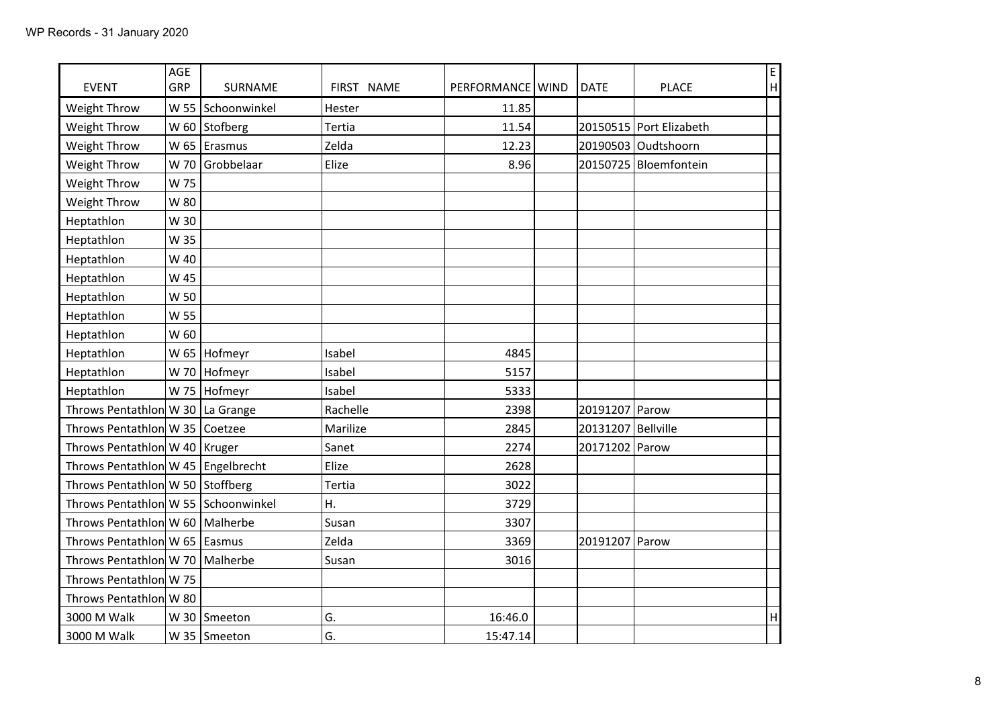| <b>EVENT</b>                         | AGE<br>GRP | <b>SURNAME</b>       | FIRST NAME | PERFORMANCE   WIND | <b>DATE</b>          | <b>PLACE</b>            | E<br>$\boldsymbol{\mathsf{H}}$ |
|--------------------------------------|------------|----------------------|------------|--------------------|----------------------|-------------------------|--------------------------------|
| Weight Throw                         |            | W 55 Schoonwinkel    | Hester     | 11.85              |                      |                         |                                |
| Weight Throw                         |            | W 60 Stofberg        | Tertia     | 11.54              |                      | 20150515 Port Elizabeth |                                |
| Weight Throw                         |            | W 65 $\vert$ Erasmus | Zelda      | 12.23              |                      | 20190503 Oudtshoorn     |                                |
| Weight Throw                         |            | W 70 Grobbelaar      | Elize      | 8.96               |                      | 20150725   Bloemfontein |                                |
| Weight Throw                         | W 75       |                      |            |                    |                      |                         |                                |
| Weight Throw                         | W 80       |                      |            |                    |                      |                         |                                |
| Heptathlon                           | W 30       |                      |            |                    |                      |                         |                                |
| Heptathlon                           | W 35       |                      |            |                    |                      |                         |                                |
| Heptathlon                           | W 40       |                      |            |                    |                      |                         |                                |
| Heptathlon                           | W 45       |                      |            |                    |                      |                         |                                |
| Heptathlon                           | W 50       |                      |            |                    |                      |                         |                                |
| Heptathlon                           | W 55       |                      |            |                    |                      |                         |                                |
| Heptathlon                           | W 60       |                      |            |                    |                      |                         |                                |
| Heptathlon                           |            | W 65 Hofmeyr         | Isabel     | 4845               |                      |                         |                                |
| Heptathlon                           |            | W 70 Hofmeyr         | Isabel     | 5157               |                      |                         |                                |
| Heptathlon                           |            | W 75   Hofmeyr       | Isabel     | 5333               |                      |                         |                                |
| Throws Pentathlon W 30 La Grange     |            |                      | Rachelle   | 2398               | 20191207 Parow       |                         |                                |
| Throws Pentathlon W 35   Coetzee     |            |                      | Marilize   | 2845               | 20131207   Bellville |                         |                                |
| Throws Pentathlon W 40   Kruger      |            |                      | Sanet      | 2274               | 20171202             | Parow                   |                                |
| Throws Pentathlon W 45   Engelbrecht |            |                      | Elize      | 2628               |                      |                         |                                |
| Throws Pentathlon W 50 Stoffberg     |            |                      | Tertia     | 3022               |                      |                         |                                |
| Throws Pentathlon W 55 Schoonwinkel  |            |                      | Η.         | 3729               |                      |                         |                                |
| Throws Pentathlon W 60   Malherbe    |            |                      | Susan      | 3307               |                      |                         |                                |
| Throws Pentathlon W 65   Easmus      |            |                      | Zelda      | 3369               | 20191207             | Parow                   |                                |
| Throws Pentathlon W 70   Malherbe    |            |                      | Susan      | 3016               |                      |                         |                                |
| Throws Pentathion W 75               |            |                      |            |                    |                      |                         |                                |
| Throws Pentathion W 80               |            |                      |            |                    |                      |                         |                                |
| 3000 M Walk                          |            | W 30 Smeeton         | G.         | 16:46.0            |                      |                         | H                              |
| 3000 M Walk                          |            | W 35 Smeeton         | G.         | 15:47.14           |                      |                         |                                |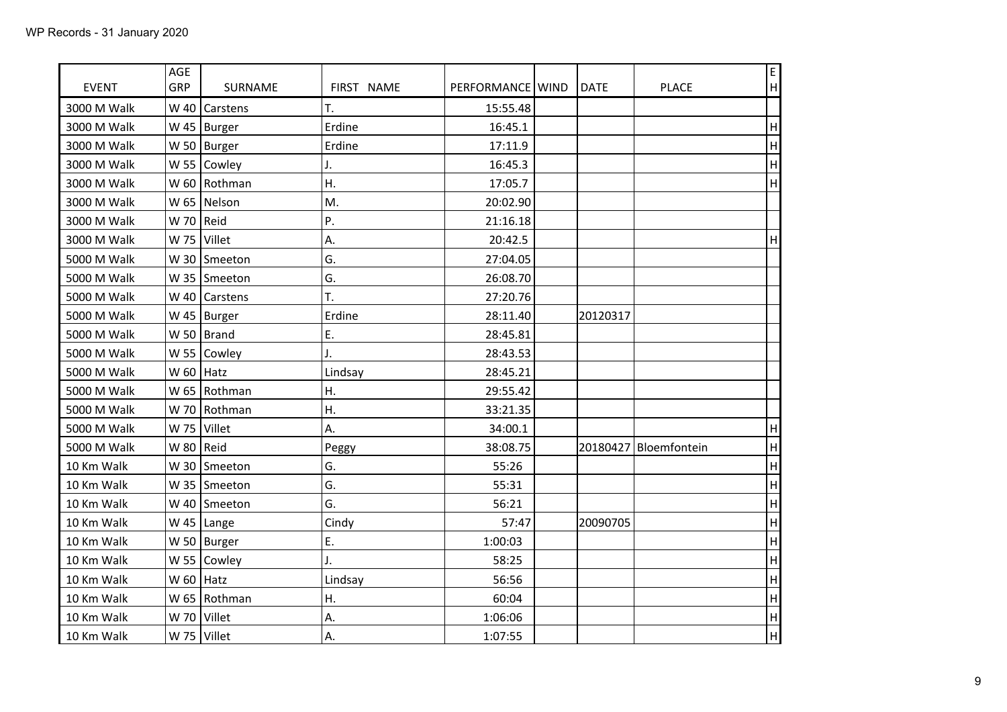| <b>EVENT</b> | AGE<br>GRP  | SURNAME             | FIRST NAME | PERFORMANCE   WIND | <b>DATE</b> | <b>PLACE</b>          | E<br>H                    |
|--------------|-------------|---------------------|------------|--------------------|-------------|-----------------------|---------------------------|
| 3000 M Walk  | W 40        | Carstens            | T.         | 15:55.48           |             |                       |                           |
| 3000 M Walk  |             | W 45   Burger       | Erdine     | 16:45.1            |             |                       | H                         |
| 3000 M Walk  |             | W 50   Burger       | Erdine     | 17:11.9            |             |                       | $\boldsymbol{\mathsf{H}}$ |
| 3000 M Walk  |             | W 55 $\vert$ Cowley | J.         | 16:45.3            |             |                       | $\sf H$                   |
| 3000 M Walk  |             | W 60 Rothman        | Η.         | 17:05.7            |             |                       | H                         |
| 3000 M Walk  |             | W 65   Nelson       | M.         | 20:02.90           |             |                       |                           |
| 3000 M Walk  | W 70 Reid   |                     | P.         | 21:16.18           |             |                       |                           |
| 3000 M Walk  | W 75        | Villet              | Α.         | 20:42.5            |             |                       | $\boldsymbol{\mathsf{H}}$ |
| 5000 M Walk  |             | W 30 Smeeton        | G.         | 27:04.05           |             |                       |                           |
| 5000 M Walk  |             | W 35   Smeeton      | G.         | 26:08.70           |             |                       |                           |
| 5000 M Walk  |             | W 40   Carstens     | T.         | 27:20.76           |             |                       |                           |
| 5000 M Walk  |             | W 45   Burger       | Erdine     | 28:11.40           | 20120317    |                       |                           |
| 5000 M Walk  |             | W 50   Brand        | E.         | 28:45.81           |             |                       |                           |
| 5000 M Walk  | W 55        | Cowley              | J.         | 28:43.53           |             |                       |                           |
| 5000 M Walk  | W 60   Hatz |                     | Lindsay    | 28:45.21           |             |                       |                           |
| 5000 M Walk  |             | W 65   Rothman      | Η.         | 29:55.42           |             |                       |                           |
| 5000 M Walk  |             | W 70 Rothman        | Η.         | 33:21.35           |             |                       |                           |
| 5000 M Walk  |             | $W$ 75 Villet       | Α.         | 34:00.1            |             |                       | $\boldsymbol{\mathsf{H}}$ |
| 5000 M Walk  | W 80   Reid |                     | Peggy      | 38:08.75           |             | 20180427 Bloemfontein | H                         |
| 10 Km Walk   |             | W 30   Smeeton      | G.         | 55:26              |             |                       | $\sf H$                   |
| 10 Km Walk   |             | W 35   Smeeton      | G.         | 55:31              |             |                       | $\boldsymbol{\mathsf{H}}$ |
| 10 Km Walk   |             | W 40   Smeeton      | G.         | 56:21              |             |                       | H                         |
| 10 Km Walk   |             | W 45   Lange        | Cindy      | 57:47              | 20090705    |                       | H                         |
| 10 Km Walk   |             | W 50   Burger       | E.         | 1:00:03            |             |                       | $\mathsf{H}%$             |
| 10 Km Walk   | W 55        | Cowley              | J.         | 58:25              |             |                       | $\sf H$                   |
| 10 Km Walk   | $W$ 60      | Hatz                | Lindsay    | 56:56              |             |                       | $\boldsymbol{\mathsf{H}}$ |
| 10 Km Walk   |             | W 65   Rothman      | Η.         | 60:04              |             |                       | H                         |
| 10 Km Walk   |             | W 70 $\vert$ Villet | А.         | 1:06:06            |             |                       | H                         |
| 10 Km Walk   |             | W 75 Villet         | Α.         | 1:07:55            |             |                       | H                         |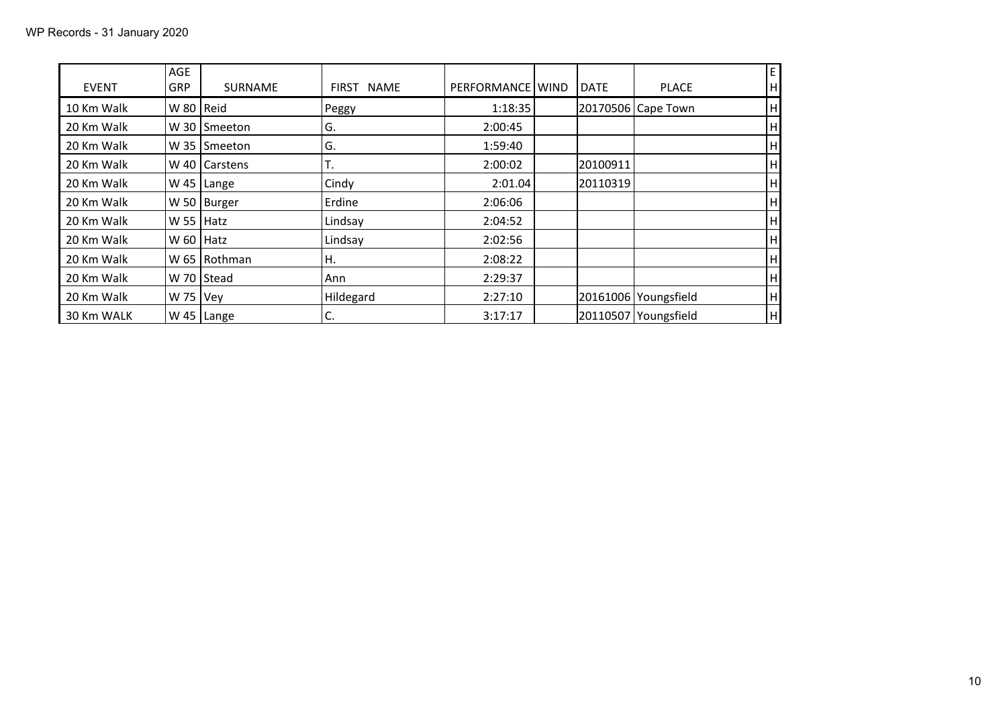| <b>EVENT</b> | AGE<br><b>GRP</b> | <b>SURNAME</b>  | FIRST NAME | PERFORMANCE WIND | <b>DATE</b> | <b>PLACE</b>         | E<br>H                    |
|--------------|-------------------|-----------------|------------|------------------|-------------|----------------------|---------------------------|
| 10 Km Walk   | W 80   Reid       |                 | Peggy      | 1:18:35          |             | 20170506 Cape Town   | H                         |
| 20 Km Walk   | W 30              | Smeeton         | G.         | 2:00:45          |             |                      | H                         |
| 20 Km Walk   | W 35              | Smeeton         | G.         | 1:59:40          |             |                      | H                         |
| 20 Km Walk   |                   | W 40   Carstens | Т.         | 2:00:02          | 20100911    |                      | H                         |
| 20 Km Walk   | W 45              | Lange           | Cindy      | 2:01.04          | 20110319    |                      | H                         |
| 20 Km Walk   |                   | W 50   Burger   | Erdine     | 2:06:06          |             |                      | H                         |
| 20 Km Walk   | $W$ 55   Hatz     |                 | Lindsay    | 2:04:52          |             |                      | H                         |
| 20 Km Walk   | $W$ 60   Hatz     |                 | Lindsay    | 2:02:56          |             |                      | H                         |
| 20 Km Walk   |                   | W 65   Rothman  | Η.         | 2:08:22          |             |                      | H                         |
| 20 Km Walk   |                   | W 70 Stead      | Ann        | 2:29:37          |             |                      | H                         |
| 20 Km Walk   | W 75   Vey        |                 | Hildegard  | 2:27:10          |             | 20161006 Youngsfield | H                         |
| 30 Km WALK   |                   | W 45 $ $ Lange  | C.         | 3:17:17          |             | 20110507 Youngsfield | $\boldsymbol{\mathsf{H}}$ |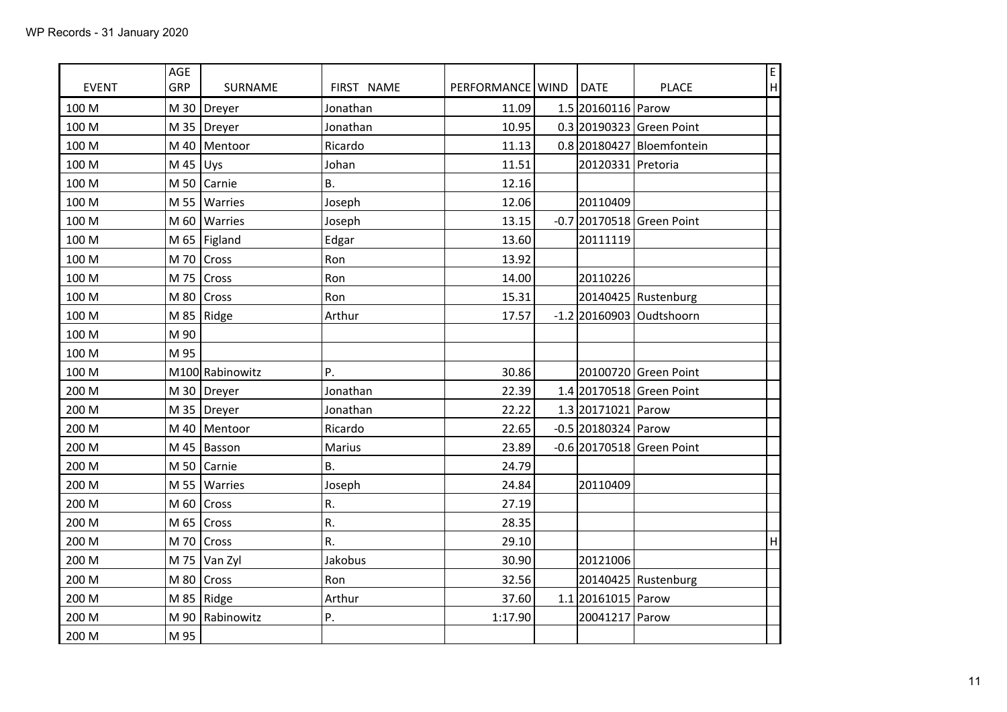| <b>EVENT</b> | AGE<br>GRP | SURNAME             | FIRST NAME | PERFORMANCE   WIND | <b>DATE</b>           | <b>PLACE</b>                | E<br>$\mathsf{H}%$ |
|--------------|------------|---------------------|------------|--------------------|-----------------------|-----------------------------|--------------------|
| 100 M        |            | M 30   Dreyer       | Jonathan   | 11.09              | 1.5 20160116 Parow    |                             |                    |
| 100 M        |            | M 35   Dreyer       | Jonathan   | 10.95              |                       | 0.3 20190323 Green Point    |                    |
| 100 M        |            | M 40   Mentoor      | Ricardo    | 11.13              |                       | 0.8 20180427 Bloemfontein   |                    |
| 100 M        | M 45 Uys   |                     | Johan      | 11.51              | 20120331 Pretoria     |                             |                    |
| 100 M        |            | M 50 $\vert$ Carnie | <b>B.</b>  | 12.16              |                       |                             |                    |
| 100 M        |            | M 55   Warries      | Joseph     | 12.06              | 20110409              |                             |                    |
| 100 M        |            | M 60   Warries      | Joseph     | 13.15              |                       | $-0.7$ 20170518 Green Point |                    |
| 100 M        |            | M 65   Figland      | Edgar      | 13.60              | 20111119              |                             |                    |
| 100 M        |            | M 70 $\vert$ Cross  | Ron        | 13.92              |                       |                             |                    |
| 100 M        |            | M 75 $\vert$ Cross  | Ron        | 14.00              | 20110226              |                             |                    |
| 100 M        |            | M 80 $ Cross$       | Ron        | 15.31              |                       | 20140425 Rustenburg         |                    |
| 100 M        |            | M 85   Ridge        | Arthur     | 17.57              |                       | $-1.2$ 20160903 Oudtshoorn  |                    |
| 100 M        | M 90       |                     |            |                    |                       |                             |                    |
| 100 M        | M 95       |                     |            |                    |                       |                             |                    |
| 100 M        |            | M100 Rabinowitz     | P.         | 30.86              |                       | 20100720 Green Point        |                    |
| 200 M        |            | M 30   Dreyer       | Jonathan   | 22.39              |                       | 1.4 20170518 Green Point    |                    |
| 200 M        |            | M 35   Dreyer       | Jonathan   | 22.22              | 1.3 20171021 Parow    |                             |                    |
| 200 M        |            | M 40   Mentoor      | Ricardo    | 22.65              | $-0.5$ 20180324 Parow |                             |                    |
| 200 M        |            | M 45   Basson       | Marius     | 23.89              |                       | $-0.6$ 20170518 Green Point |                    |
| 200 M        |            | M 50 $\vert$ Carnie | <b>B.</b>  | 24.79              |                       |                             |                    |
| 200 M        |            | M 55   Warries      | Joseph     | 24.84              | 20110409              |                             |                    |
| 200 M        |            | M 60 $ Cross$       | R.         | 27.19              |                       |                             |                    |
| 200 M        |            | M 65 $\vert$ Cross  | R.         | 28.35              |                       |                             |                    |
| 200 M        | M 70       | Cross               | R.         | 29.10              |                       |                             | H                  |
| 200 M        |            | M 75 $ Van Zyl$     | Jakobus    | 30.90              | 20121006              |                             |                    |
| 200 M        |            | M 80 $ Cross$       | Ron        | 32.56              |                       | 20140425 Rustenburg         |                    |
| 200 M        |            | M 85   Ridge        | Arthur     | 37.60              | 1.1 20161015 Parow    |                             |                    |
| 200 M        |            | M 90   Rabinowitz   | Ρ.         | 1:17.90            | 20041217 Parow        |                             |                    |
| 200 M        | M 95       |                     |            |                    |                       |                             |                    |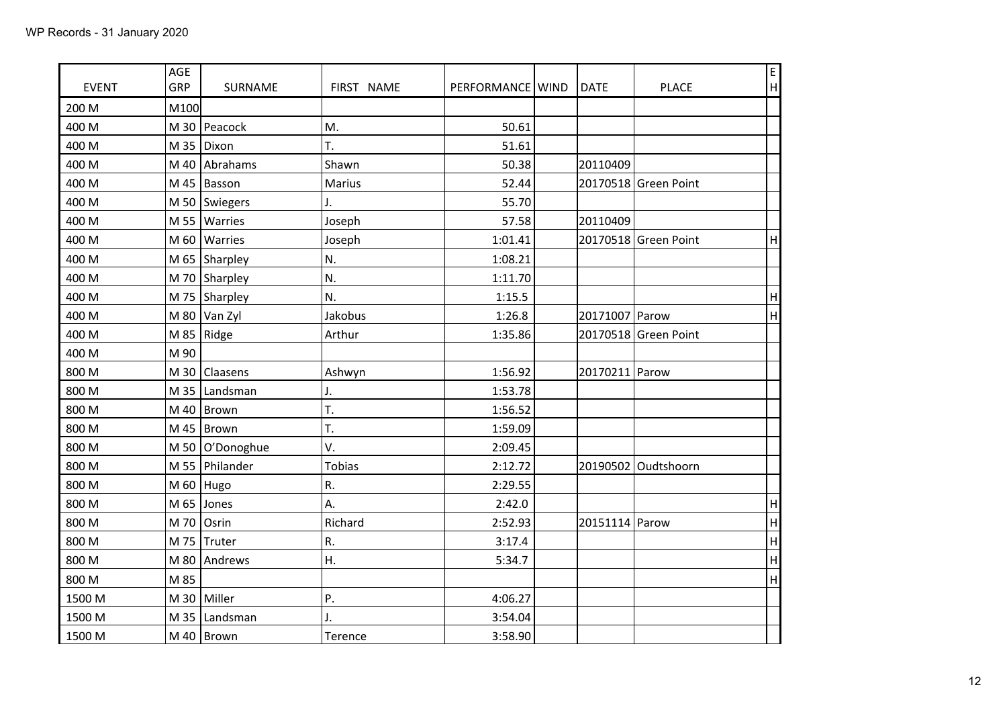| <b>EVENT</b> | AGE<br>GRP | SURNAME               | FIRST NAME    | PERFORMANCE   WIND | <b>DATE</b>    | <b>PLACE</b>         | E<br> H                   |
|--------------|------------|-----------------------|---------------|--------------------|----------------|----------------------|---------------------------|
| 200 M        | M100       |                       |               |                    |                |                      |                           |
| 400 M        |            | M 30   Peacock        | M.            | 50.61              |                |                      |                           |
| 400 M        | M 35       | Dixon                 | T.            | 51.61              |                |                      |                           |
| 400 M        |            | M 40   Abrahams       | Shawn         | 50.38              | 20110409       |                      |                           |
| 400 M        |            | M 45   Basson         | Marius        | 52.44              |                | 20170518 Green Point |                           |
| 400 M        |            | M 50   Swiegers       | J.            | 55.70              |                |                      |                           |
| 400 M        | M 55       | Warries               | Joseph        | 57.58              | 20110409       |                      |                           |
| 400 M        | M 60       | Warries               | Joseph        | 1:01.41            |                | 20170518 Green Point | H                         |
| 400 M        |            | M 65 Sharpley         | N.            | 1:08.21            |                |                      |                           |
| 400 M        |            | M 70 Sharpley         | N.            | 1:11.70            |                |                      |                           |
| 400 M        |            | M 75 Sharpley         | N.            | 1:15.5             |                |                      | $\boldsymbol{\mathsf{H}}$ |
| 400 M        |            | M 80 $\sqrt{\tan 2y}$ | Jakobus       | 1:26.8             | 20171007 Parow |                      | H                         |
| 400 M        |            | M 85   Ridge          | Arthur        | 1:35.86            |                | 20170518 Green Point |                           |
| 400 M        | M 90       |                       |               |                    |                |                      |                           |
| 800 M        |            | M 30 $ $ Claasens     | Ashwyn        | 1:56.92            | 20170211 Parow |                      |                           |
| 800 M        |            | M 35   Landsman       | J.            | 1:53.78            |                |                      |                           |
| 800 M        |            | M 40   Brown          | T.            | 1:56.52            |                |                      |                           |
| 800 M        |            | M 45   Brown          | T.            | 1:59.09            |                |                      |                           |
| 800 M        | M 50       | O'Donoghue            | V.            | 2:09.45            |                |                      |                           |
| 800 M        |            | M 55 Philander        | <b>Tobias</b> | 2:12.72            |                | 20190502 Oudtshoorn  |                           |
| 800 M        |            | M 60 Hugo             | R.            | 2:29.55            |                |                      |                           |
| 800 M        |            | M 65 Jones            | А.            | 2:42.0             |                |                      | H                         |
| 800 M        | M 70       | Osrin                 | Richard       | 2:52.93            | 20151114 Parow |                      | H                         |
| 800 M        |            | M 75 Truter           | R.            | 3:17.4             |                |                      | H                         |
| 800 M        |            | M 80 Andrews          | Η.            | 5:34.7             |                |                      | H                         |
| 800 M        | M 85       |                       |               |                    |                |                      | H                         |
| 1500 M       |            | M 30 Miller           | P.            | 4:06.27            |                |                      |                           |
| 1500 M       |            | M 35   Landsman       | J.            | 3:54.04            |                |                      |                           |
| 1500 M       |            | M 40   Brown          | Terence       | 3:58.90            |                |                      |                           |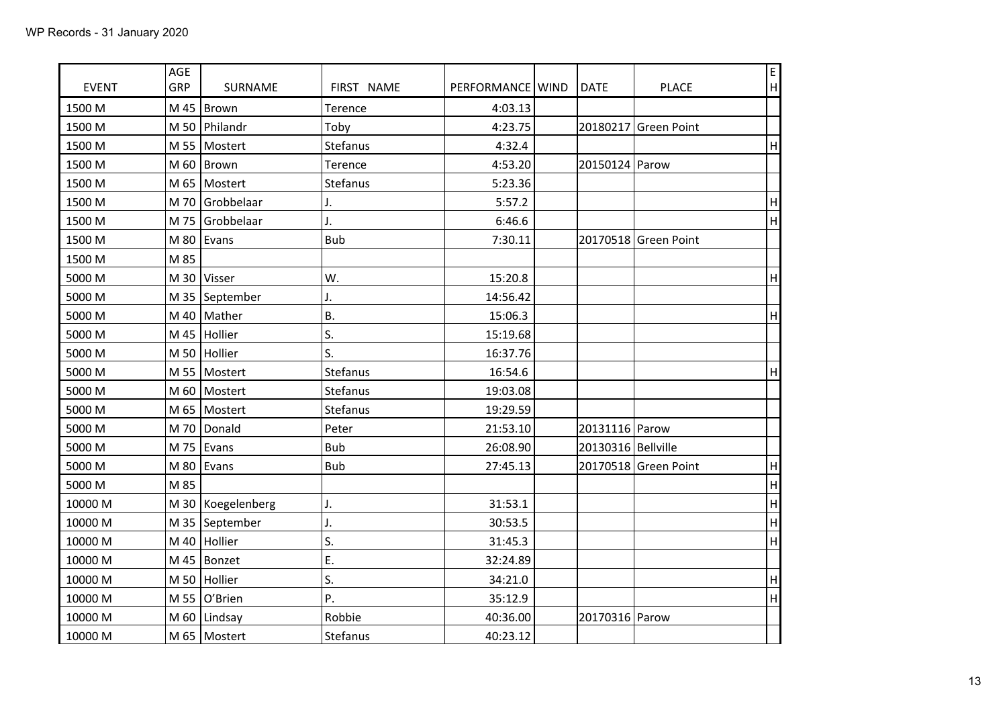| <b>EVENT</b> | AGE<br>GRP | SURNAME           | FIRST NAME | PERFORMANCE   WIND | DATE                 | <b>PLACE</b>         | E<br>$\mathsf{H}%$        |
|--------------|------------|-------------------|------------|--------------------|----------------------|----------------------|---------------------------|
| 1500 M       |            | M 45   Brown      | Terence    | 4:03.13            |                      |                      |                           |
| 1500 M       |            | M 50   Philandr   | Toby       | 4:23.75            | 20180217             | Green Point          |                           |
| 1500 M       |            | M 55   Mostert    | Stefanus   | 4:32.4             |                      |                      | $\sf H$                   |
| 1500 M       |            | M 60   Brown      | Terence    | 4:53.20            | 20150124 Parow       |                      |                           |
| 1500 M       |            | M 65   Mostert    | Stefanus   | 5:23.36            |                      |                      |                           |
| 1500 M       | M 70       | Grobbelaar        | J.         | 5:57.2             |                      |                      | $\boldsymbol{\mathsf{H}}$ |
| 1500 M       |            | M 75 Grobbelaar   | J.         | 6:46.6             |                      |                      | $\overline{H}$            |
| 1500 M       |            | M 80 Evans        | <b>Bub</b> | 7:30.11            |                      | 20170518 Green Point |                           |
| 1500 M       | M 85       |                   |            |                    |                      |                      |                           |
| 5000 M       |            | M 30 Visser       | W.         | 15:20.8            |                      |                      | $\overline{\mathsf{H}}$   |
| 5000 M       |            | M 35   September  | J.         | 14:56.42           |                      |                      |                           |
| 5000 M       |            | M 40   Mather     | <b>B.</b>  | 15:06.3            |                      |                      | H                         |
| 5000 M       |            | M 45 Hollier      | S.         | 15:19.68           |                      |                      |                           |
| 5000 M       |            | M 50 Hollier      | S.         | 16:37.76           |                      |                      |                           |
| 5000 M       |            | M 55   Mostert    | Stefanus   | 16:54.6            |                      |                      | $\mathsf H$               |
| 5000 M       |            | M 60   Mostert    | Stefanus   | 19:03.08           |                      |                      |                           |
| 5000 M       |            | M 65   Mostert    | Stefanus   | 19:29.59           |                      |                      |                           |
| 5000 M       |            | M 70 Donald       | Peter      | 21:53.10           | 20131116 Parow       |                      |                           |
| 5000 M       |            | M 75 Evans        | <b>Bub</b> | 26:08.90           | 20130316   Bellville |                      |                           |
| 5000 M       |            | M 80 Evans        | <b>Bub</b> | 27:45.13           |                      | 20170518 Green Point | $\sf H$                   |
| 5000 M       | M 85       |                   |            |                    |                      |                      | $\overline{\mathsf{H}}$   |
| 10000 M      |            | M 30 Koegelenberg | J.         | 31:53.1            |                      |                      | $\overline{\mathsf{H}}$   |
| 10000 M      |            | M 35 September    | J.         | 30:53.5            |                      |                      | H                         |
| 10000 M      |            | M 40 Hollier      | S.         | 31:45.3            |                      |                      | $\mathbf{H}$              |
| 10000 M      |            | M 45   Bonzet     | E.         | 32:24.89           |                      |                      |                           |
| 10000 M      | M 50       | Hollier           | S.         | 34:21.0            |                      |                      | $\overline{\mathsf{H}}$   |
| 10000 M      |            | M 55 $O'B$ rien   | P.         | 35:12.9            |                      |                      | $\overline{\mathsf{H}}$   |
| 10000 M      |            | M 60   Lindsay    | Robbie     | 40:36.00           | 20170316 Parow       |                      |                           |
| 10000 M      |            | M 65   Mostert    | Stefanus   | 40:23.12           |                      |                      |                           |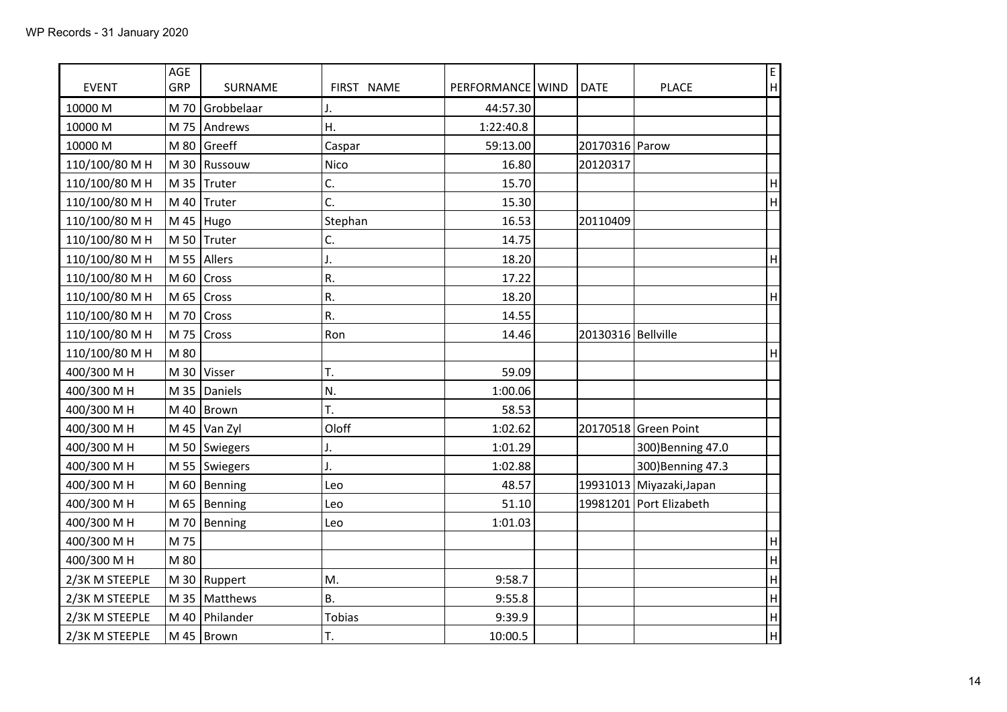| <b>EVENT</b>   | AGE<br>GRP | SURNAME               | FIRST NAME | PERFORMANCE   WIND | <b>DATE</b>          | <b>PLACE</b>             | E<br> H                   |
|----------------|------------|-----------------------|------------|--------------------|----------------------|--------------------------|---------------------------|
| 10000 M        |            | M 70 Grobbelaar       |            |                    |                      |                          |                           |
| 10000 M        |            | M 75 Andrews          | J.<br>Η.   | 44:57.30           |                      |                          |                           |
|                |            |                       |            | 1:22:40.8          |                      |                          |                           |
| 10000 M        |            | M 80 $Greeff$         | Caspar     | 59:13.00           | 20170316 Parow       |                          |                           |
| 110/100/80 M H |            | M 30 Russouw          | Nico       | 16.80              | 20120317             |                          |                           |
| 110/100/80 M H |            | M 35 $ $ Truter       | C.         | 15.70              |                      |                          | $\boldsymbol{\mathsf{H}}$ |
| 110/100/80 M H | M 40       | Truter                | C.         | 15.30              |                      |                          | H                         |
| 110/100/80 M H |            | M 45   Hugo           | Stephan    | 16.53              | 20110409             |                          |                           |
| 110/100/80 M H |            | M 50 $ $ Truter       | C.         | 14.75              |                      |                          |                           |
| 110/100/80 M H | M 55       | Allers                | J.         | 18.20              |                      |                          | H                         |
| 110/100/80 M H |            | M 60 $ Cross$         | R.         | 17.22              |                      |                          |                           |
| 110/100/80 M H | M 65       | Cross                 | R.         | 18.20              |                      |                          | H                         |
| 110/100/80 M H |            | M 70 $ Cross$         | R.         | 14.55              |                      |                          |                           |
| 110/100/80 M H |            | M 75 $\vert$ Cross    | Ron        | 14.46              | 20130316   Bellville |                          |                           |
| 110/100/80 M H | M 80       |                       |            |                    |                      |                          | H                         |
| 400/300 M H    |            | M 30   Visser         | T.         | 59.09              |                      |                          |                           |
| 400/300 M H    |            | M 35 $ $ Daniels      | N.         | 1:00.06            |                      |                          |                           |
| 400/300 M H    |            | M 40   Brown          | T.         | 58.53              |                      |                          |                           |
| 400/300 M H    |            | M 45 $\sqrt{\tan 2y}$ | Oloff      | 1:02.62            |                      | 20170518 Green Point     |                           |
| 400/300 M H    |            | M 50   Swiegers       | J.         | 1:01.29            |                      | 300) Benning 47.0        |                           |
| 400/300 M H    |            | M 55   Swiegers       | J.         | 1:02.88            |                      | 300) Benning 47.3        |                           |
| 400/300 M H    |            | M 60   Benning        | Leo        | 48.57              |                      | 19931013 Miyazaki, Japan |                           |
| 400/300 M H    |            | M 65   Benning        | Leo        | 51.10              |                      | 19981201 Port Elizabeth  |                           |
| 400/300 M H    | M 70       | Benning               | Leo        | 1:01.03            |                      |                          |                           |
| 400/300 M H    | M 75       |                       |            |                    |                      |                          | H                         |
| 400/300 M H    | M 80       |                       |            |                    |                      |                          | H                         |
| 2/3K M STEEPLE |            | M 30   Ruppert        | M.         | 9:58.7             |                      |                          | $\mathsf{H}%$             |
| 2/3K M STEEPLE |            | M 35   Matthews       | <b>B.</b>  | 9:55.8             |                      |                          | H                         |
| 2/3K M STEEPLE |            | M 40   Philander      | Tobias     | 9:39.9             |                      |                          | H                         |
| 2/3K M STEEPLE |            | M 45   Brown          | T.         | 10:00.5            |                      |                          | H                         |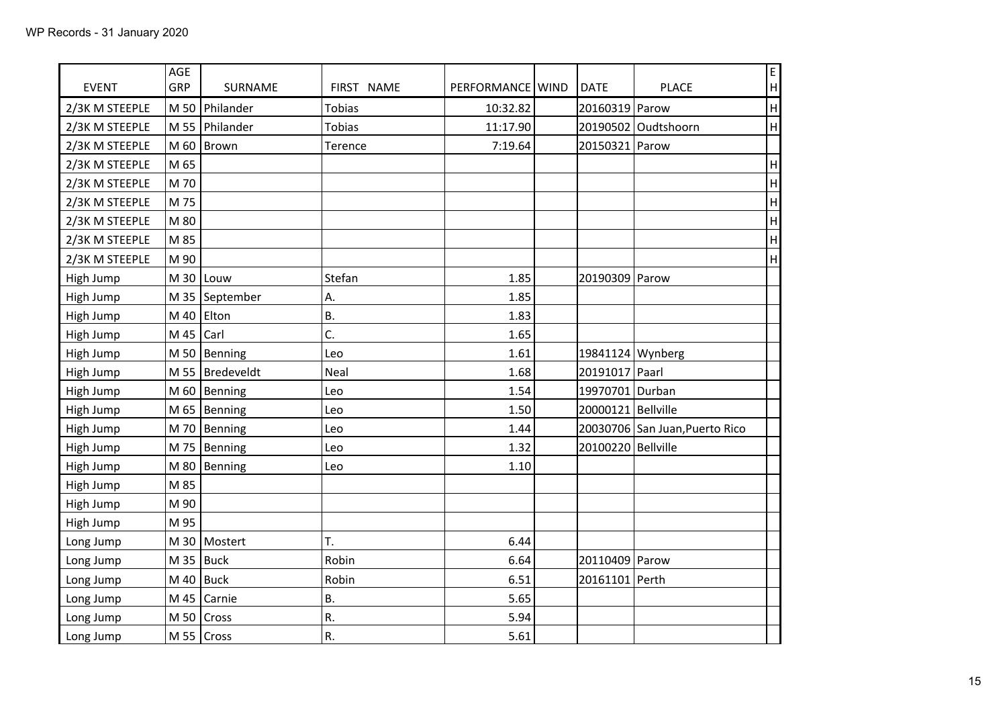| <b>EVENT</b>   | AGE<br>GRP | SURNAME           | FIRST NAME    | PERFORMANCE   WIND | <b>DATE</b>        | <b>PLACE</b>                   | E<br>$\boldsymbol{\mathsf{H}}$ |
|----------------|------------|-------------------|---------------|--------------------|--------------------|--------------------------------|--------------------------------|
| 2/3K M STEEPLE |            | M 50 Philander    | <b>Tobias</b> | 10:32.82           | 20160319 Parow     |                                | H                              |
| 2/3K M STEEPLE |            | M 55 Philander    | <b>Tobias</b> | 11:17.90           |                    | 20190502 Oudtshoorn            | $\overline{\mathsf{H}}$        |
| 2/3K M STEEPLE |            | M 60   Brown      | Terence       | 7:19.64            | 20150321           | Parow                          |                                |
| 2/3K M STEEPLE | M 65       |                   |               |                    |                    |                                | $\overline{\mathsf{H}}$        |
| 2/3K M STEEPLE | M 70       |                   |               |                    |                    |                                | $\overline{\mathsf{H}}$        |
| 2/3K M STEEPLE | M 75       |                   |               |                    |                    |                                | $\boldsymbol{\mathsf{H}}$      |
| 2/3K M STEEPLE | M 80       |                   |               |                    |                    |                                | $\overline{H}$                 |
| 2/3K M STEEPLE | M 85       |                   |               |                    |                    |                                | $\overline{\mathsf{H}}$        |
| 2/3K M STEEPLE | M 90       |                   |               |                    |                    |                                | $\overline{\mathsf{H}}$        |
| High Jump      |            | M 30 Louw         | Stefan        | 1.85               | 20190309 Parow     |                                |                                |
| High Jump      |            | M 35   September  | Α.            | 1.85               |                    |                                |                                |
| High Jump      |            | M 40 Elton        | B.            | 1.83               |                    |                                |                                |
| High Jump      | M 45       | Carl              | C.            | 1.65               |                    |                                |                                |
| High Jump      |            | M 50   Benning    | Leo           | 1.61               | 19841124 Wynberg   |                                |                                |
| High Jump      |            | M 55   Bredeveldt | Neal          | 1.68               | 20191017 Paarl     |                                |                                |
| High Jump      |            | M 60   Benning    | Leo           | 1.54               | 19970701 Durban    |                                |                                |
| High Jump      |            | M 65   Benning    | Leo           | 1.50               | 20000121 Bellville |                                |                                |
| High Jump      |            | M 70   Benning    | Leo           | 1.44               |                    | 20030706 San Juan, Puerto Rico |                                |
| High Jump      |            | M 75   Benning    | Leo           | 1.32               | 20100220 Bellville |                                |                                |
| High Jump      |            | M 80   Benning    | Leo           | 1.10               |                    |                                |                                |
| High Jump      | M 85       |                   |               |                    |                    |                                |                                |
| High Jump      | M 90       |                   |               |                    |                    |                                |                                |
| High Jump      | M 95       |                   |               |                    |                    |                                |                                |
| Long Jump      |            | M 30   Mostert    | T.            | 6.44               |                    |                                |                                |
| Long Jump      |            | M 35   Buck       | Robin         | 6.64               | 20110409 Parow     |                                |                                |
| Long Jump      |            | M 40   Buck       | Robin         | 6.51               | 20161101           | Perth                          |                                |
| Long Jump      | M 45       | Carnie            | Β.            | 5.65               |                    |                                |                                |
| Long Jump      |            | M 50 $ Cross$     | R.            | 5.94               |                    |                                |                                |
| Long Jump      |            | M 55 $ Cross$     | R.            | 5.61               |                    |                                |                                |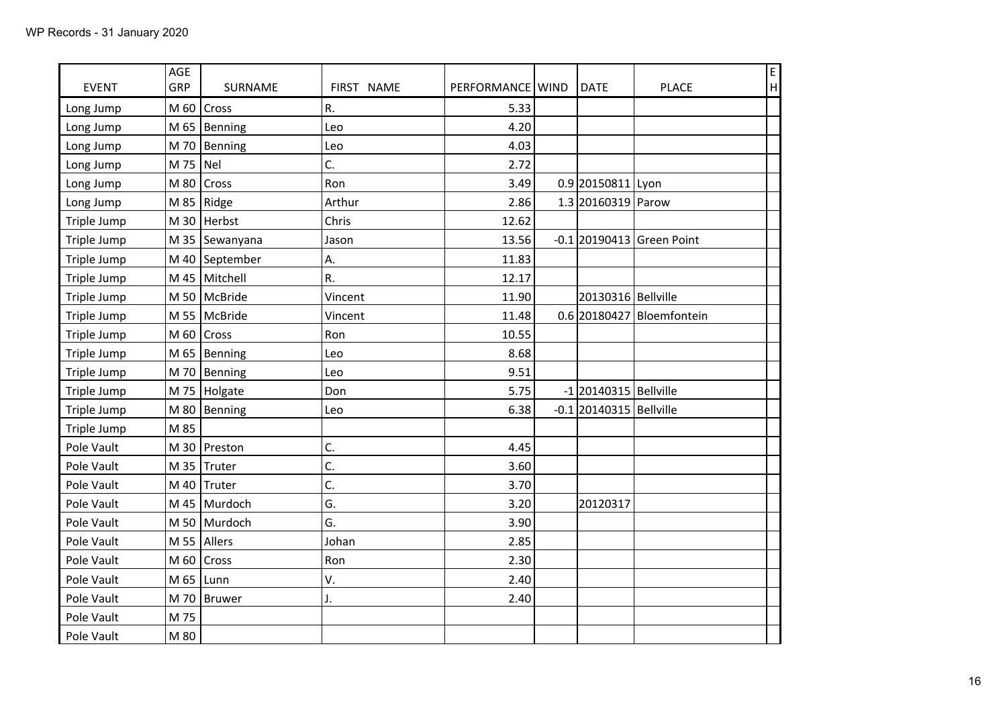| <b>EVENT</b> | AGE<br>GRP | SURNAME         | FIRST NAME | PERFORMANCE   WIND | <b>DATE</b>               | <b>PLACE</b>                | E<br> H |
|--------------|------------|-----------------|------------|--------------------|---------------------------|-----------------------------|---------|
| Long Jump    | M 60       | Cross           | R.         | 5.33               |                           |                             |         |
| Long Jump    |            | M 65   Benning  | Leo        | 4.20               |                           |                             |         |
| Long Jump    |            | M 70   Benning  | Leo        | 4.03               |                           |                             |         |
| Long Jump    | M 75       | Nel             | C.         | 2.72               |                           |                             |         |
| Long Jump    | M 80       | Cross           | Ron        | 3.49               | 0.9 20150811 Lyon         |                             |         |
| Long Jump    | M 85       | Ridge           | Arthur     | 2.86               | 1.3 20160319 Parow        |                             |         |
| Triple Jump  |            | M 30   Herbst   | Chris      | 12.62              |                           |                             |         |
| Triple Jump  |            | M 35 Sewanyana  | Jason      | 13.56              |                           | $-0.1$ 20190413 Green Point |         |
| Triple Jump  |            | M 40 September  | Α.         | 11.83              |                           |                             |         |
| Triple Jump  |            | M 45   Mitchell | R.         | 12.17              |                           |                             |         |
| Triple Jump  |            | M 50   McBride  | Vincent    | 11.90              | 20130316   Bellville      |                             |         |
| Triple Jump  |            | M 55   McBride  | Vincent    | 11.48              |                           | 0.6 20180427 Bloemfontein   |         |
| Triple Jump  | M 60       | Cross           | Ron        | 10.55              |                           |                             |         |
| Triple Jump  |            | M 65   Benning  | Leo        | 8.68               |                           |                             |         |
| Triple Jump  |            | M 70   Benning  | Leo        | 9.51               |                           |                             |         |
| Triple Jump  |            | M 75 Holgate    | Don        | 5.75               | $-1$ 20140315 Bellville   |                             |         |
| Triple Jump  |            | M 80   Benning  | Leo        | 6.38               | $-0.1$ 20140315 Bellville |                             |         |
| Triple Jump  | M 85       |                 |            |                    |                           |                             |         |
| Pole Vault   |            | M 30   Preston  | C.         | 4.45               |                           |                             |         |
| Pole Vault   | M 35       | Truter          | C.         | 3.60               |                           |                             |         |
| Pole Vault   | M 40       | Truter          | C.         | 3.70               |                           |                             |         |
| Pole Vault   |            | M 45   Murdoch  | G.         | 3.20               | 20120317                  |                             |         |
| Pole Vault   |            | M 50 Murdoch    | G.         | 3.90               |                           |                             |         |
| Pole Vault   |            | M 55 Allers     | Johan      | 2.85               |                           |                             |         |
| Pole Vault   | M 60       | Cross           | Ron        | 2.30               |                           |                             |         |
| Pole Vault   |            | M 65 $ Lunn$    | V.         | 2.40               |                           |                             |         |
| Pole Vault   |            | M 70   Bruwer   | J.         | 2.40               |                           |                             |         |
| Pole Vault   | M 75       |                 |            |                    |                           |                             |         |
| Pole Vault   | M 80       |                 |            |                    |                           |                             |         |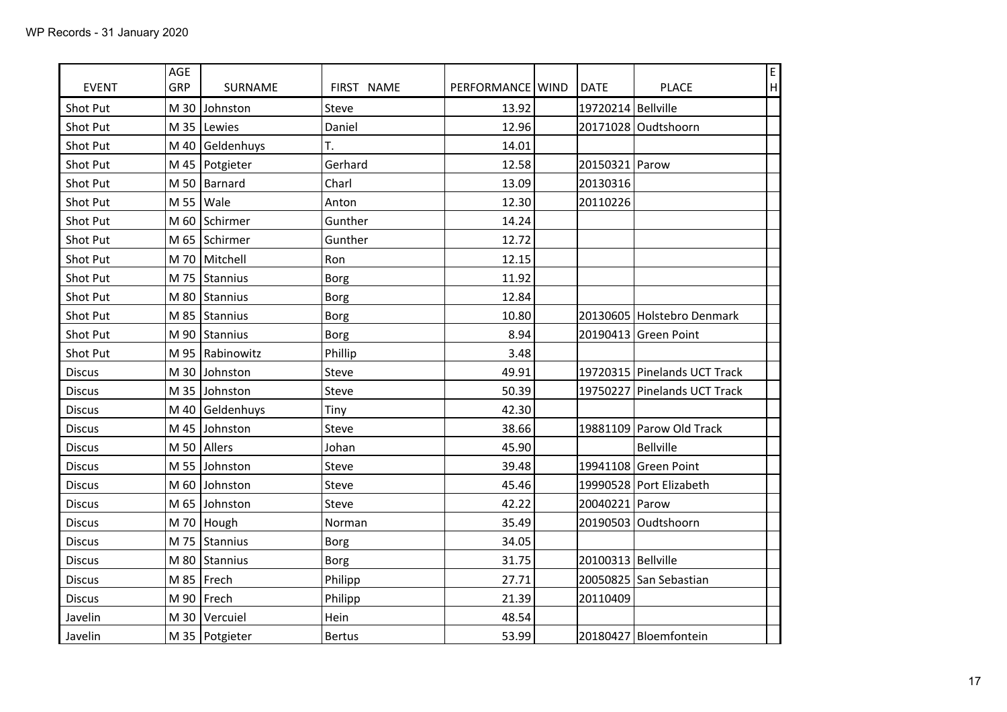| <b>EVENT</b>  | AGE<br>GRP | SURNAME           | FIRST NAME    | PERFORMANCE   WIND | <b>DATE</b>        | <b>PLACE</b>                 | E<br> H |
|---------------|------------|-------------------|---------------|--------------------|--------------------|------------------------------|---------|
| Shot Put      |            | M 30 Johnston     | Steve         | 13.92              | 19720214 Bellville |                              |         |
| Shot Put      |            | M 35 Lewies       | Daniel        | 12.96              |                    | 20171028 Oudtshoorn          |         |
| Shot Put      |            | M 40 Geldenhuys   | T.            | 14.01              |                    |                              |         |
| Shot Put      |            | M 45   Potgieter  | Gerhard       | 12.58              | 20150321 Parow     |                              |         |
| Shot Put      |            | M 50   Barnard    | Charl         | 13.09              | 20130316           |                              |         |
| Shot Put      |            | M 55   Wale       | Anton         | 12.30              | 20110226           |                              |         |
| Shot Put      |            | M 60 Schirmer     | Gunther       | 14.24              |                    |                              |         |
| Shot Put      |            | M 65 Schirmer     | Gunther       | 12.72              |                    |                              |         |
| Shot Put      |            | M 70 Mitchell     | Ron           | 12.15              |                    |                              |         |
| Shot Put      |            | M 75 Stannius     | <b>Borg</b>   | 11.92              |                    |                              |         |
| Shot Put      |            | M 80 Stannius     | <b>Borg</b>   | 12.84              |                    |                              |         |
| Shot Put      |            | M 85 Stannius     | <b>Borg</b>   | 10.80              |                    | 20130605 Holstebro Denmark   |         |
| Shot Put      |            | M 90 Stannius     | <b>Borg</b>   | 8.94               |                    | 20190413 Green Point         |         |
| Shot Put      |            | M 95   Rabinowitz | Phillip       | 3.48               |                    |                              |         |
| <b>Discus</b> | M30        | Johnston          | Steve         | 49.91              |                    | 19720315 Pinelands UCT Track |         |
| <b>Discus</b> |            | M 35 Johnston     | Steve         | 50.39              |                    | 19750227 Pinelands UCT Track |         |
| <b>Discus</b> |            | M 40   Geldenhuys | Tiny          | 42.30              |                    |                              |         |
| <b>Discus</b> |            | M 45 Johnston     | Steve         | 38.66              |                    | 19881109 Parow Old Track     |         |
| <b>Discus</b> |            | M 50 Allers       | Johan         | 45.90              |                    | <b>Bellville</b>             |         |
| <b>Discus</b> |            | M 55 Johnston     | Steve         | 39.48              |                    | 19941108 Green Point         |         |
| <b>Discus</b> | $M$ 60     | Johnston          | Steve         | 45.46              |                    | 19990528 Port Elizabeth      |         |
| <b>Discus</b> |            | M 65 Johnston     | Steve         | 42.22              | 20040221 Parow     |                              |         |
| <b>Discus</b> |            | M 70   Hough      | Norman        | 35.49              |                    | 20190503 Oudtshoorn          |         |
| <b>Discus</b> |            | M 75 Stannius     | <b>Borg</b>   | 34.05              |                    |                              |         |
| <b>Discus</b> |            | M 80 Stannius     | <b>Borg</b>   | 31.75              | 20100313 Bellville |                              |         |
| <b>Discus</b> |            | M 85   Frech      | Philipp       | 27.71              |                    | 20050825 San Sebastian       |         |
| <b>Discus</b> |            | M 90   Frech      | Philipp       | 21.39              | 20110409           |                              |         |
| Javelin       |            | M 30   Vercuiel   | Hein          | 48.54              |                    |                              |         |
| Javelin       |            | M 35   Potgieter  | <b>Bertus</b> | 53.99              |                    | 20180427 Bloemfontein        |         |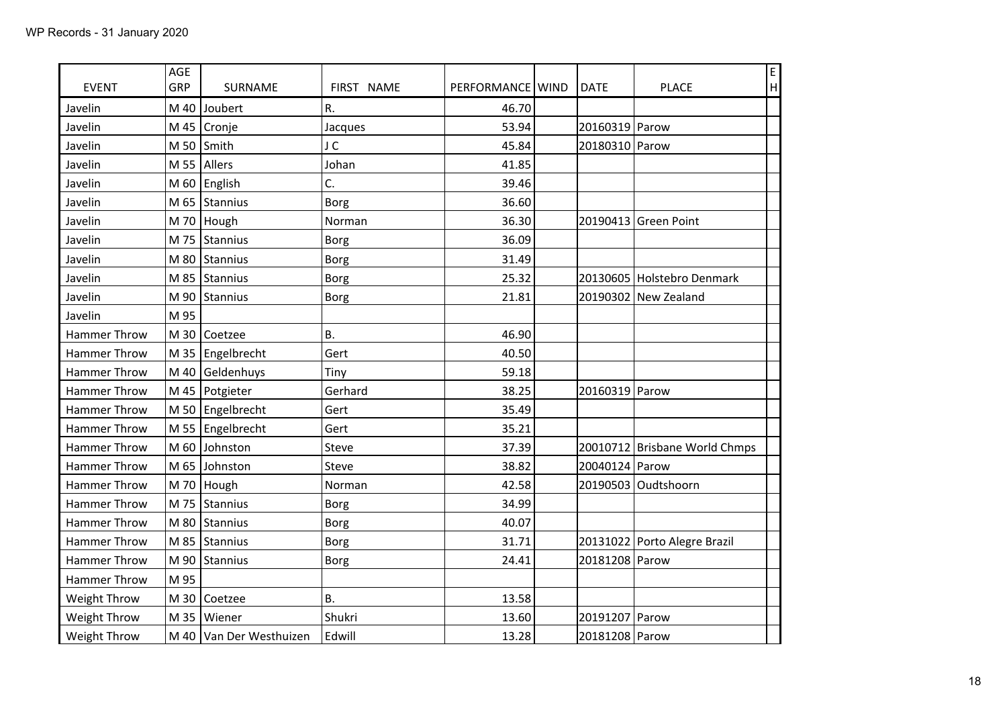| <b>EVENT</b>        | AGE<br>GRP | SURNAME                 | FIRST NAME  | PERFORMANCE   WIND | <b>DATE</b>    | <b>PLACE</b>                  | E<br> H |
|---------------------|------------|-------------------------|-------------|--------------------|----------------|-------------------------------|---------|
| Javelin             | M 40       | Joubert                 | R.          | 46.70              |                |                               |         |
| Javelin             |            | M 45 Cronje             | Jacques     | 53.94              | 20160319 Parow |                               |         |
| Javelin             |            | M 50 $\vert$ Smith      | J C         | 45.84              | 20180310 Parow |                               |         |
| Javelin             |            | M 55 Allers             | Johan       | 41.85              |                |                               |         |
| Javelin             |            | M 60 $ English$         | C.          | 39.46              |                |                               |         |
| Javelin             |            | M 65   Stannius         | <b>Borg</b> | 36.60              |                |                               |         |
| Javelin             |            | M 70   Hough            | Norman      | 36.30              |                | 20190413 Green Point          |         |
| Javelin             |            | M 75 Stannius           | Borg        | 36.09              |                |                               |         |
| Javelin             |            | M 80 Stannius           | Borg        | 31.49              |                |                               |         |
| Javelin             |            | M 85 Stannius           | Borg        | 25.32              |                | 20130605 Holstebro Denmark    |         |
| Javelin             |            | M 90 Stannius           | <b>Borg</b> | 21.81              |                | 20190302 New Zealand          |         |
| Javelin             | M 95       |                         |             |                    |                |                               |         |
| <b>Hammer Throw</b> |            | M 30 Coetzee            | <b>B.</b>   | 46.90              |                |                               |         |
| Hammer Throw        |            | M 35   Engelbrecht      | Gert        | 40.50              |                |                               |         |
| Hammer Throw        |            | M 40 Geldenhuys         | Tiny        | 59.18              |                |                               |         |
| Hammer Throw        |            | M 45   Potgieter        | Gerhard     | 38.25              | 20160319 Parow |                               |         |
| Hammer Throw        |            | M 50 $ Engelbrecht$     | Gert        | 35.49              |                |                               |         |
| <b>Hammer Throw</b> |            | M 55 $ Engelbrecht$     | Gert        | 35.21              |                |                               |         |
| Hammer Throw        | M 60       | Johnston                | Steve       | 37.39              |                | 20010712 Brisbane World Chmps |         |
| Hammer Throw        |            | M 65 Johnston           | Steve       | 38.82              | 20040124 Parow |                               |         |
| Hammer Throw        |            | M 70 Hough              | Norman      | 42.58              |                | 20190503 Oudtshoorn           |         |
| Hammer Throw        |            | M 75 Stannius           | Borg        | 34.99              |                |                               |         |
| Hammer Throw        |            | M 80 Stannius           | Borg        | 40.07              |                |                               |         |
| Hammer Throw        |            | M 85 Stannius           | Borg        | 31.71              |                | 20131022 Porto Alegre Brazil  |         |
| Hammer Throw        |            | M 90 Stannius           | Borg        | 24.41              | 20181208 Parow |                               |         |
| Hammer Throw        | M 95       |                         |             |                    |                |                               |         |
| Weight Throw        |            | M 30 Coetzee            | <b>B.</b>   | 13.58              |                |                               |         |
| Weight Throw        |            | M 35   Wiener           | Shukri      | 13.60              | 20191207 Parow |                               |         |
| Weight Throw        |            | M 40 Van Der Westhuizen | Edwill      | 13.28              | 20181208 Parow |                               |         |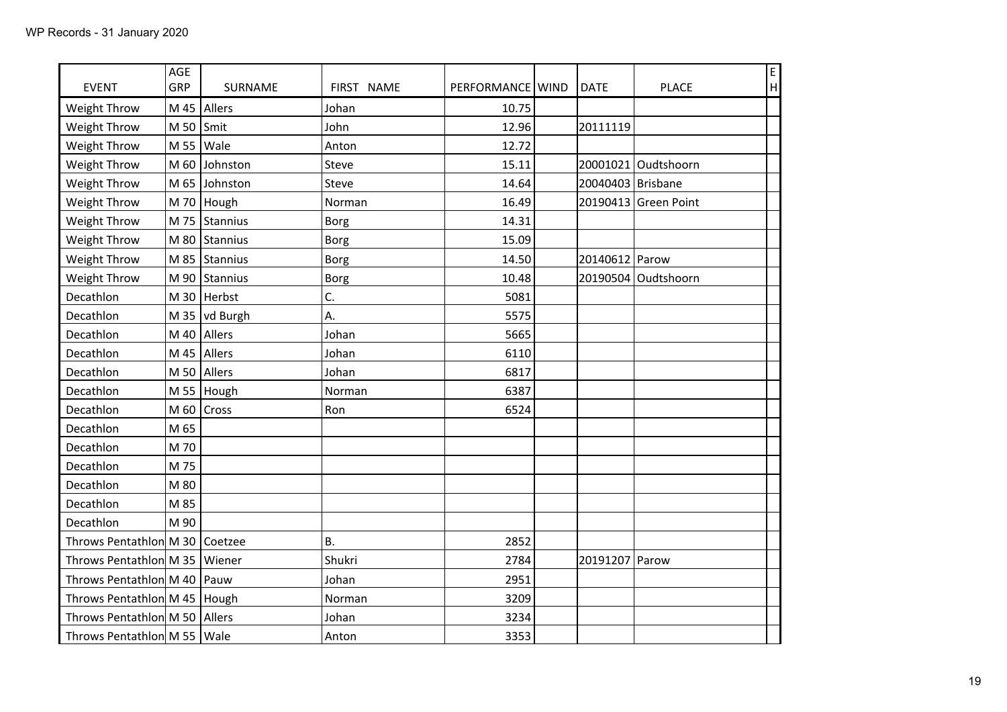| <b>EVENT</b>                    | AGE<br>GRP        | SURNAME         | FIRST NAME  | PERFORMANCE   WIND | <b>DATE</b>         | <b>PLACE</b>         | E<br>$\boldsymbol{\mathsf{H}}$ |
|---------------------------------|-------------------|-----------------|-------------|--------------------|---------------------|----------------------|--------------------------------|
| Weight Throw                    |                   | M 45   Allers   | Johan       | 10.75              |                     |                      |                                |
| Weight Throw                    | M 50 $\vert$ Smit |                 | John        | 12.96              | 20111119            |                      |                                |
| Weight Throw                    |                   | M 55   Wale     | Anton       | 12.72              |                     |                      |                                |
| Weight Throw                    |                   | M 60 Johnston   | Steve       | 15.11              |                     | 20001021 Oudtshoorn  |                                |
| Weight Throw                    |                   | M 65 Johnston   | Steve       | 14.64              | 20040403   Brisbane |                      |                                |
| Weight Throw                    |                   | M 70 Hough      | Norman      | 16.49              |                     | 20190413 Green Point |                                |
| Weight Throw                    |                   | M 75 Stannius   | <b>Borg</b> | 14.31              |                     |                      |                                |
| Weight Throw                    |                   | M 80 Stannius   | <b>Borg</b> | 15.09              |                     |                      |                                |
| Weight Throw                    |                   | M 85 Stannius   | <b>Borg</b> | 14.50              | 20140612 Parow      |                      |                                |
| Weight Throw                    |                   | M 90 Stannius   | <b>Borg</b> | 10.48              | 20190504            | Oudtshoorn           |                                |
| Decathlon                       |                   | M 30   Herbst   | C.          | 5081               |                     |                      |                                |
| Decathlon                       |                   | M 35   vd Burgh | А.          | 5575               |                     |                      |                                |
| Decathlon                       |                   | M 40   Allers   | Johan       | 5665               |                     |                      |                                |
| Decathlon                       |                   | M 45 Allers     | Johan       | 6110               |                     |                      |                                |
| Decathlon                       |                   | M 50 Allers     | Johan       | 6817               |                     |                      |                                |
| Decathlon                       |                   | M 55 Hough      | Norman      | 6387               |                     |                      |                                |
| Decathlon                       |                   | M 60 $ Cross$   | Ron         | 6524               |                     |                      |                                |
| Decathlon                       | M 65              |                 |             |                    |                     |                      |                                |
| Decathlon                       | M 70              |                 |             |                    |                     |                      |                                |
| Decathlon                       | M 75              |                 |             |                    |                     |                      |                                |
| Decathlon                       | M 80              |                 |             |                    |                     |                      |                                |
| Decathlon                       | M 85              |                 |             |                    |                     |                      |                                |
| Decathlon                       | M 90              |                 |             |                    |                     |                      |                                |
| Throws Pentathlon M 30 Coetzee  |                   |                 | <b>B.</b>   | 2852               |                     |                      |                                |
| Throws Pentathlon M 35   Wiener |                   |                 | Shukri      | 2784               | 20191207            | Parow                |                                |
| Throws Pentathlon M 40   Pauw   |                   |                 | Johan       | 2951               |                     |                      |                                |
| Throws Pentathlon M 45   Hough  |                   |                 | Norman      | 3209               |                     |                      |                                |
| Throws Pentathlon M 50   Allers |                   |                 | Johan       | 3234               |                     |                      |                                |
| Throws Pentathlon M 55   Wale   |                   |                 | Anton       | 3353               |                     |                      |                                |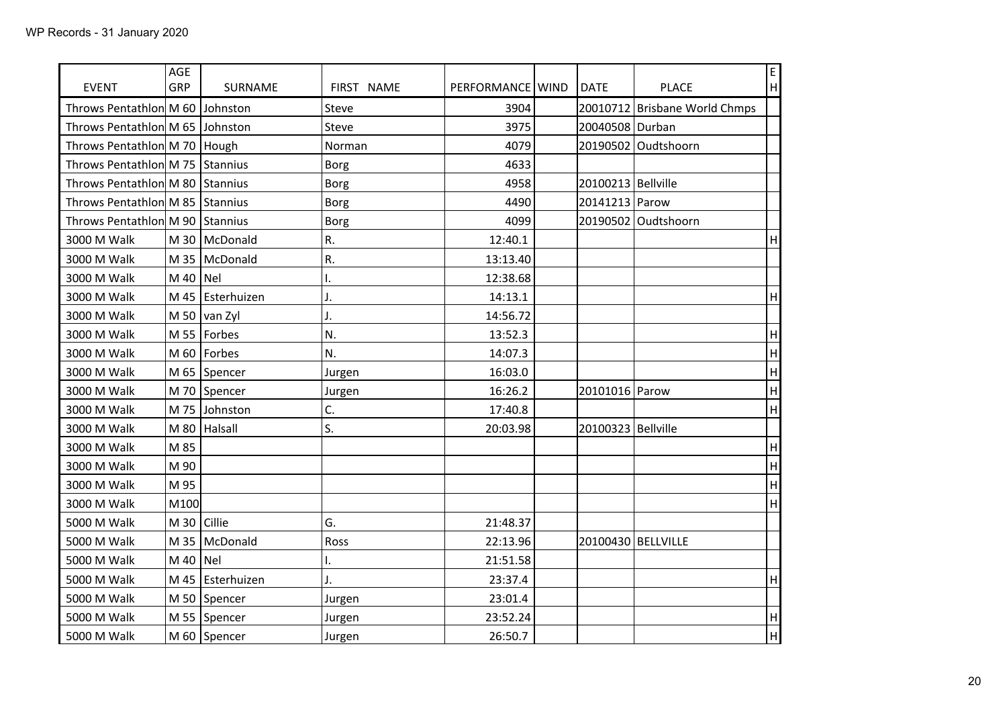| <b>EVENT</b>                    | AGE<br>GRP      | SURNAME              | FIRST NAME     | PERFORMANCE   WIND | <b>DATE</b>        | <b>PLACE</b>                  | $\mathsf{E}% _{0}\left( \mathsf{E}\right)$<br> H |
|---------------------------------|-----------------|----------------------|----------------|--------------------|--------------------|-------------------------------|--------------------------------------------------|
| Throws Pentathlon M 60          |                 | Johnston             | Steve          | 3904               |                    | 20010712 Brisbane World Chmps |                                                  |
| Throws Pentathlon M 65 Johnston |                 |                      | Steve          | 3975               | 20040508 Durban    |                               |                                                  |
| Throws Pentathlon M 70   Hough  |                 |                      | Norman         | 4079               |                    | 20190502 Oudtshoorn           |                                                  |
| Throws Pentathlon M 75 Stannius |                 |                      | <b>Borg</b>    | 4633               |                    |                               |                                                  |
| Throws Pentathlon M 80 Stannius |                 |                      | Borg           | 4958               | 20100213 Bellville |                               |                                                  |
| Throws Pentathlon M 85 Stannius |                 |                      | Borg           | 4490               | 20141213 Parow     |                               |                                                  |
| Throws Pentathlon M 90 Stannius |                 |                      | <b>Borg</b>    | 4099               |                    | 20190502 Oudtshoorn           |                                                  |
| 3000 M Walk                     |                 | M 30   McDonald      | R.             | 12:40.1            |                    |                               | H                                                |
| 3000 M Walk                     |                 | M 35   McDonald      | R.             | 13:13.40           |                    |                               |                                                  |
| 3000 M Walk                     | M 40 $ $ Nel    |                      | I.             | 12:38.68           |                    |                               |                                                  |
| 3000 M Walk                     |                 | M 45   Esterhuizen   | J.             | 14:13.1            |                    |                               | H                                                |
| 3000 M Walk                     |                 | M 50 $\vert$ van Zyl | J.             | 14:56.72           |                    |                               |                                                  |
| 3000 M Walk                     |                 | M 55   Forbes        | N.             | 13:52.3            |                    |                               | $\boldsymbol{\mathsf{H}}$                        |
| 3000 M Walk                     | $M$ 60          | Forbes               | N.             | 14:07.3            |                    |                               | H                                                |
| 3000 M Walk                     |                 | M 65 Spencer         | Jurgen         | 16:03.0            |                    |                               | H                                                |
| 3000 M Walk                     |                 | M 70 Spencer         | Jurgen         | 16:26.2            | 20101016 Parow     |                               | $\boldsymbol{\mathsf{H}}$                        |
| 3000 M Walk                     |                 | M 75 Johnston        | C.             | 17:40.8            |                    |                               | $\boldsymbol{\mathsf{H}}$                        |
| 3000 M Walk                     |                 | $M$ 80   Halsall     | S.             | 20:03.98           | 20100323 Bellville |                               |                                                  |
| 3000 M Walk                     | M 85            |                      |                |                    |                    |                               | $\boldsymbol{\mathsf{H}}$                        |
| 3000 M Walk                     | M 90            |                      |                |                    |                    |                               | H                                                |
| 3000 M Walk                     | M 95            |                      |                |                    |                    |                               | $\sf H$                                          |
| 3000 M Walk                     | M100            |                      |                |                    |                    |                               | H                                                |
| 5000 M Walk                     | M 30 $ $ Cillie |                      | G.             | 21:48.37           |                    |                               |                                                  |
| 5000 M Walk                     |                 | M 35   McDonald      | Ross           | 22:13.96           | 20100430 BELLVILLE |                               |                                                  |
| 5000 M Walk                     | $M$ 40          | Nel                  | I.             | 21:51.58           |                    |                               |                                                  |
| 5000 M Walk                     |                 | M 45 Esterhuizen     | $\mathsf{J}$ . | 23:37.4            |                    |                               | H                                                |
| 5000 M Walk                     |                 | M 50 Spencer         | Jurgen         | 23:01.4            |                    |                               |                                                  |
| 5000 M Walk                     |                 | M 55 Spencer         | Jurgen         | 23:52.24           |                    |                               | $\boldsymbol{\mathsf{H}}$                        |
| 5000 M Walk                     |                 | M 60 Spencer         | Jurgen         | 26:50.7            |                    |                               | H                                                |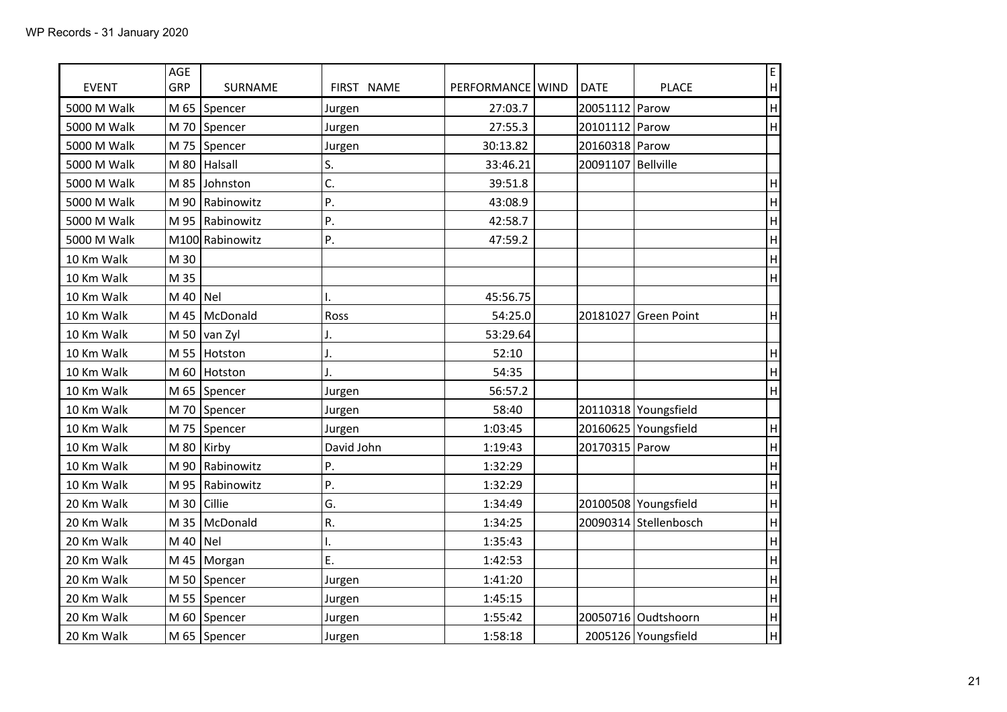| <b>EVENT</b> | AGE<br>GRP | SURNAME              | FIRST NAME | PERFORMANCE   WIND | <b>DATE</b>        | <b>PLACE</b>          | $\mathsf E$<br>H          |
|--------------|------------|----------------------|------------|--------------------|--------------------|-----------------------|---------------------------|
| 5000 M Walk  |            | M 65 Spencer         | Jurgen     | 27:03.7            | 20051112 Parow     |                       | H                         |
| 5000 M Walk  |            | M 70 Spencer         | Jurgen     | 27:55.3            | 20101112 Parow     |                       | H                         |
| 5000 M Walk  |            | M 75 Spencer         | Jurgen     | 30:13.82           | 20160318 Parow     |                       |                           |
| 5000 M Walk  |            | M 80 Halsall         | S.         | 33:46.21           | 20091107 Bellville |                       |                           |
| 5000 M Walk  |            | M 85 Johnston        | C.         | 39:51.8            |                    |                       | H                         |
| 5000 M Walk  |            | M 90   Rabinowitz    | P.         | 43:08.9            |                    |                       | $\boldsymbol{\mathsf{H}}$ |
| 5000 M Walk  |            | M 95   Rabinowitz    | P.         | 42:58.7            |                    |                       | H                         |
| 5000 M Walk  |            | M100 Rabinowitz      | P.         | 47:59.2            |                    |                       | H                         |
| 10 Km Walk   | M 30       |                      |            |                    |                    |                       | H                         |
| 10 Km Walk   | M 35       |                      |            |                    |                    |                       | H                         |
| 10 Km Walk   | M 40   Nel |                      | I.         | 45:56.75           |                    |                       |                           |
| 10 Km Walk   |            | M 45   McDonald      | Ross       | 54:25.0            |                    | 20181027 Green Point  | H                         |
| 10 Km Walk   |            | M 50 $\vert$ van Zyl | J.         | 53:29.64           |                    |                       |                           |
| 10 Km Walk   |            | M 55 Hotston         | J.         | 52:10              |                    |                       | H                         |
| 10 Km Walk   |            | M 60 Hotston         | J.         | 54:35              |                    |                       | H                         |
| 10 Km Walk   |            | M 65 Spencer         | Jurgen     | 56:57.2            |                    |                       | H                         |
| 10 Km Walk   |            | M 70 Spencer         | Jurgen     | 58:40              |                    | 20110318 Youngsfield  |                           |
| 10 Km Walk   |            | M 75 Spencer         | Jurgen     | 1:03:45            |                    | 20160625 Youngsfield  | H                         |
| 10 Km Walk   |            | M 80 Kirby           | David John | 1:19:43            | 20170315 Parow     |                       | H                         |
| 10 Km Walk   |            | M 90   Rabinowitz    | P.         | 1:32:29            |                    |                       | H                         |
| 10 Km Walk   |            | M 95   Rabinowitz    | P.         | 1:32:29            |                    |                       | H                         |
| 20 Km Walk   |            | M 30 $\vert$ Cillie  | G.         | 1:34:49            |                    | 20100508 Youngsfield  | H                         |
| 20 Km Walk   |            | M 35   McDonald      | R.         | 1:34:25            |                    | 20090314 Stellenbosch | H                         |
| 20 Km Walk   | M 40   Nel |                      | I.         | 1:35:43            |                    |                       | H                         |
| 20 Km Walk   |            | M 45   Morgan        | E.         | 1:42:53            |                    |                       | H                         |
| 20 Km Walk   |            | M 50 Spencer         | Jurgen     | 1:41:20            |                    |                       | H                         |
| 20 Km Walk   |            | M 55   Spencer       | Jurgen     | 1:45:15            |                    |                       | H                         |
| 20 Km Walk   |            | M 60 Spencer         | Jurgen     | 1:55:42            |                    | 20050716 Oudtshoorn   | $\boldsymbol{\mathsf{H}}$ |
| 20 Km Walk   |            | M 65 Spencer         | Jurgen     | 1:58:18            |                    | 2005126 Youngsfield   | H                         |